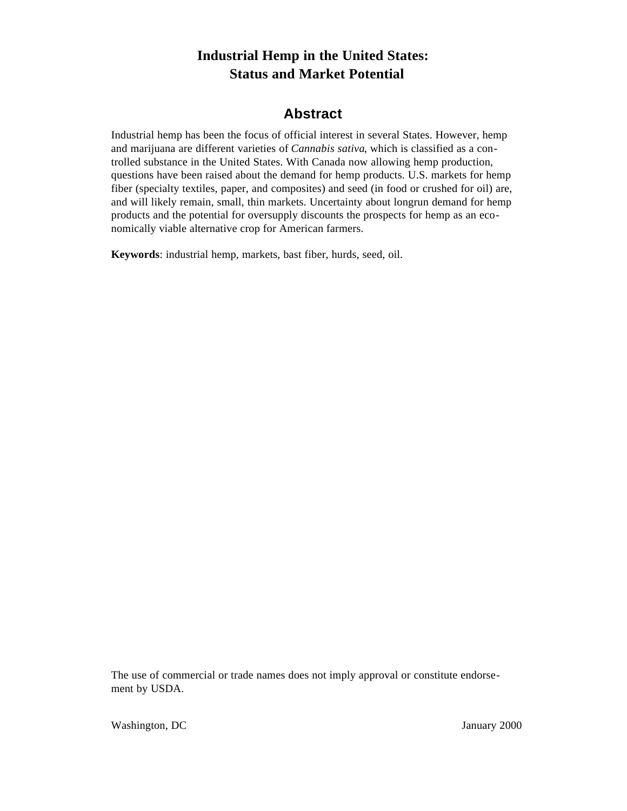# **Industrial Hemp in the United States: Status and Market Potential**

# **Abstract**

Industrial hemp has been the focus of official interest in several States. However, hemp and marijuana are different varieties of *Cannabis sativa*, which is classified as a controlled substance in the United States. With Canada now allowing hemp production, questions have been raised about the demand for hemp products. U.S. markets for hemp fiber (specialty textiles, paper, and composites) and seed (in food or crushed for oil) are, and will likely remain, small, thin markets. Uncertainty about longrun demand for hemp products and the potential for oversupply discounts the prospects for hemp as an economically viable alternative crop for American farmers.

**Keywords**: industrial hemp, markets, bast fiber, hurds, seed, oil.

The use of commercial or trade names does not imply approval or constitute endorsement by USDA.

Washington, DC January 2000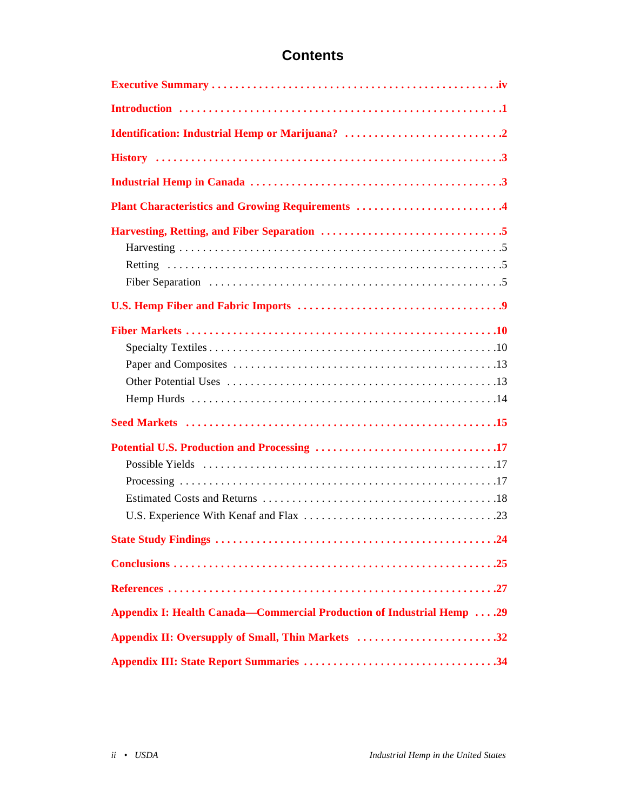# **Contents**

| Plant Characteristics and Growing Requirements 4                      |
|-----------------------------------------------------------------------|
|                                                                       |
|                                                                       |
|                                                                       |
|                                                                       |
|                                                                       |
|                                                                       |
|                                                                       |
|                                                                       |
|                                                                       |
|                                                                       |
|                                                                       |
|                                                                       |
|                                                                       |
|                                                                       |
|                                                                       |
|                                                                       |
|                                                                       |
|                                                                       |
| Appendix I: Health Canada—Commercial Production of Industrial Hemp 29 |
| Appendix II: Oversupply of Small, Thin Markets 32                     |
|                                                                       |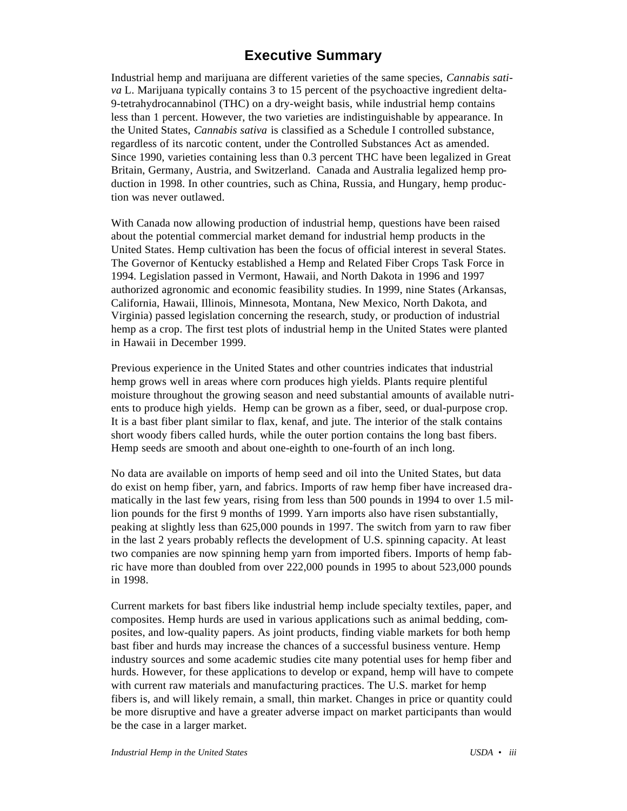# **Executive Summary**

<span id="page-2-0"></span>Industrial hemp and marijuana are different varieties of the same species, *Cannabis sativa* L. Marijuana typically contains 3 to 15 percent of the psychoactive ingredient delta-9-tetrahydrocannabinol (THC) on a dry-weight basis, while industrial hemp contains less than 1 percent. However, the two varieties are indistinguishable by appearance. In the United States, *Cannabis sativa* is classified as a Schedule I controlled substance, regardless of its narcotic content, under the Controlled Substances Act as amended. Since 1990, varieties containing less than 0.3 percent THC have been legalized in Great Britain, Germany, Austria, and Switzerland. Canada and Australia legalized hemp production in 1998. In other countries, such as China, Russia, and Hungary, hemp production was never outlawed.

With Canada now allowing production of industrial hemp, questions have been raised about the potential commercial market demand for industrial hemp products in the United States. Hemp cultivation has been the focus of official interest in several States. The Governor of Kentucky established a Hemp and Related Fiber Crops Task Force in 1994. Legislation passed in Vermont, Hawaii, and North Dakota in 1996 and 1997 authorized agronomic and economic feasibility studies. In 1999, nine States (Arkansas, California, Hawaii, Illinois, Minnesota, Montana, New Mexico, North Dakota, and Virginia) passed legislation concerning the research, study, or production of industrial hemp as a crop. The first test plots of industrial hemp in the United States were planted in Hawaii in December 1999.

Previous experience in the United States and other countries indicates that industrial hemp grows well in areas where corn produces high yields. Plants require plentiful moisture throughout the growing season and need substantial amounts of available nutrients to produce high yields. Hemp can be grown as a fiber, seed, or dual-purpose crop. It is a bast fiber plant similar to flax, kenaf, and jute. The interior of the stalk contains short woody fibers called hurds, while the outer portion contains the long bast fibers. Hemp seeds are smooth and about one-eighth to one-fourth of an inch long.

No data are available on imports of hemp seed and oil into the United States, but data do exist on hemp fiber, yarn, and fabrics. Imports of raw hemp fiber have increased dramatically in the last few years, rising from less than 500 pounds in 1994 to over 1.5 million pounds for the first 9 months of 1999. Yarn imports also have risen substantially, peaking at slightly less than 625,000 pounds in 1997. The switch from yarn to raw fiber in the last 2 years probably reflects the development of U.S. spinning capacity. At least two companies are now spinning hemp yarn from imported fibers. Imports of hemp fabric have more than doubled from over 222,000 pounds in 1995 to about 523,000 pounds in 1998.

Current markets for bast fibers like industrial hemp include specialty textiles, paper, and composites. Hemp hurds are used in various applications such as animal bedding, composites, and low-quality papers. As joint products, finding viable markets for both hemp bast fiber and hurds may increase the chances of a successful business venture. Hemp industry sources and some academic studies cite many potential uses for hemp fiber and hurds. However, for these applications to develop or expand, hemp will have to compete with current raw materials and manufacturing practices. The U.S. market for hemp fibers is, and will likely remain, a small, thin market. Changes in price or quantity could be more disruptive and have a greater adverse impact on market participants than would be the case in a larger market.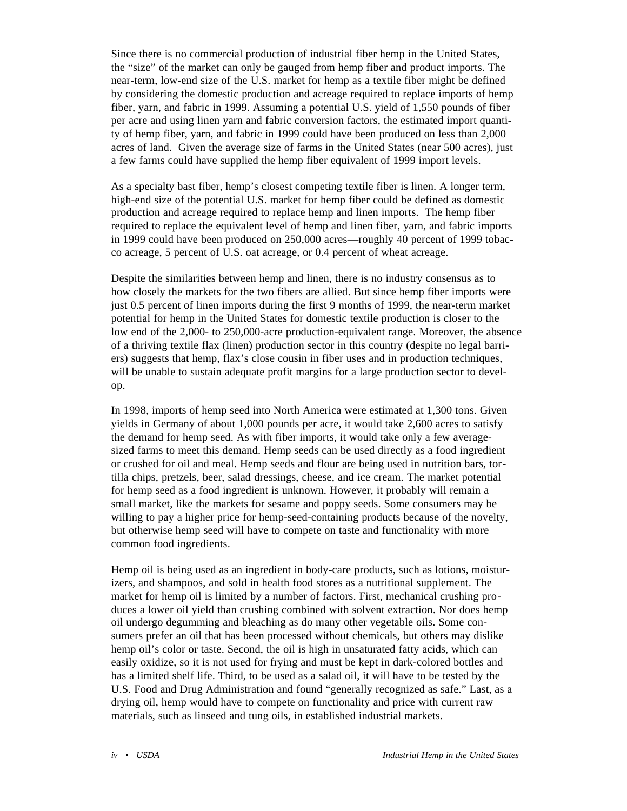Since there is no commercial production of industrial fiber hemp in the United States, the "size" of the market can only be gauged from hemp fiber and product imports. The near-term, low-end size of the U.S. market for hemp as a textile fiber might be defined by considering the domestic production and acreage required to replace imports of hemp fiber, yarn, and fabric in 1999. Assuming a potential U.S. yield of 1,550 pounds of fiber per acre and using linen yarn and fabric conversion factors, the estimated import quantity of hemp fiber, yarn, and fabric in 1999 could have been produced on less than 2,000 acres of land. Given the average size of farms in the United States (near 500 acres), just a few farms could have supplied the hemp fiber equivalent of 1999 import levels.

As a specialty bast fiber, hemp's closest competing textile fiber is linen. A longer term, high-end size of the potential U.S. market for hemp fiber could be defined as domestic production and acreage required to replace hemp and linen imports. The hemp fiber required to replace the equivalent level of hemp and linen fiber, yarn, and fabric imports in 1999 could have been produced on 250,000 acres—roughly 40 percent of 1999 tobacco acreage, 5 percent of U.S. oat acreage, or 0.4 percent of wheat acreage.

Despite the similarities between hemp and linen, there is no industry consensus as to how closely the markets for the two fibers are allied. But since hemp fiber imports were just 0.5 percent of linen imports during the first 9 months of 1999, the near-term market potential for hemp in the United States for domestic textile production is closer to the low end of the 2,000- to 250,000-acre production-equivalent range. Moreover, the absence of a thriving textile flax (linen) production sector in this country (despite no legal barriers) suggests that hemp, flax's close cousin in fiber uses and in production techniques, will be unable to sustain adequate profit margins for a large production sector to develop.

In 1998, imports of hemp seed into North America were estimated at 1,300 tons. Given yields in Germany of about 1,000 pounds per acre, it would take 2,600 acres to satisfy the demand for hemp seed. As with fiber imports, it would take only a few averagesized farms to meet this demand. Hemp seeds can be used directly as a food ingredient or crushed for oil and meal. Hemp seeds and flour are being used in nutrition bars, tortilla chips, pretzels, beer, salad dressings, cheese, and ice cream. The market potential for hemp seed as a food ingredient is unknown. However, it probably will remain a small market, like the markets for sesame and poppy seeds. Some consumers may be willing to pay a higher price for hemp-seed-containing products because of the novelty, but otherwise hemp seed will have to compete on taste and functionality with more common food ingredients.

Hemp oil is being used as an ingredient in body-care products, such as lotions, moisturizers, and shampoos, and sold in health food stores as a nutritional supplement. The market for hemp oil is limited by a number of factors. First, mechanical crushing produces a lower oil yield than crushing combined with solvent extraction. Nor does hemp oil undergo degumming and bleaching as do many other vegetable oils. Some consumers prefer an oil that has been processed without chemicals, but others may dislike hemp oil's color or taste. Second, the oil is high in unsaturated fatty acids, which can easily oxidize, so it is not used for frying and must be kept in dark-colored bottles and has a limited shelf life. Third, to be used as a salad oil, it will have to be tested by the U.S. Food and Drug Administration and found "generally recognized as safe." Last, as a drying oil, hemp would have to compete on functionality and price with current raw materials, such as linseed and tung oils, in established industrial markets.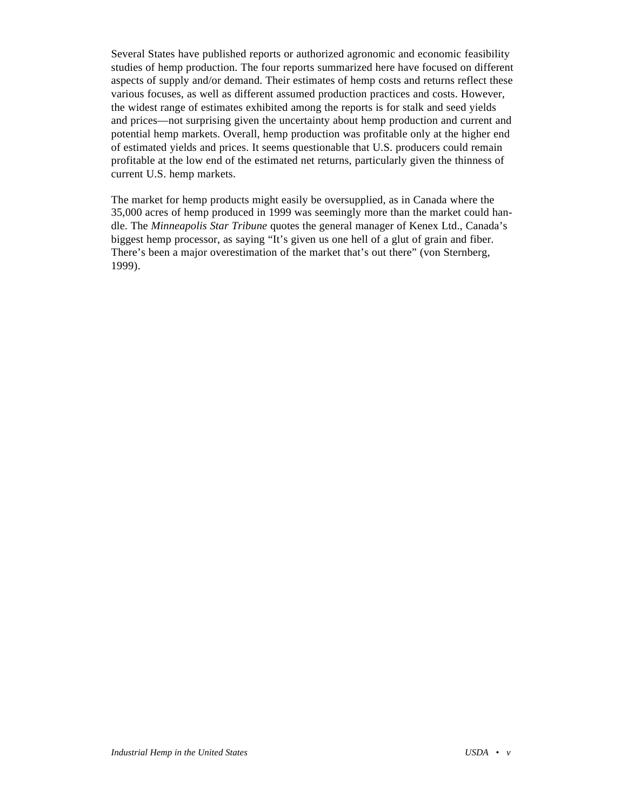Several States have published reports or authorized agronomic and economic feasibility studies of hemp production. The four reports summarized here have focused on different aspects of supply and/or demand. Their estimates of hemp costs and returns reflect these various focuses, as well as different assumed production practices and costs. However, the widest range of estimates exhibited among the reports is for stalk and seed yields and prices—not surprising given the uncertainty about hemp production and current and potential hemp markets. Overall, hemp production was profitable only at the higher end of estimated yields and prices. It seems questionable that U.S. producers could remain profitable at the low end of the estimated net returns, particularly given the thinness of current U.S. hemp markets.

The market for hemp products might easily be oversupplied, as in Canada where the 35,000 acres of hemp produced in 1999 was seemingly more than the market could handle. The *Minneapolis Star Tribune* quotes the general manager of Kenex Ltd., Canada's biggest hemp processor, as saying "It's given us one hell of a glut of grain and fiber. There's been a major overestimation of the market that's out there" (von Sternberg, 1999).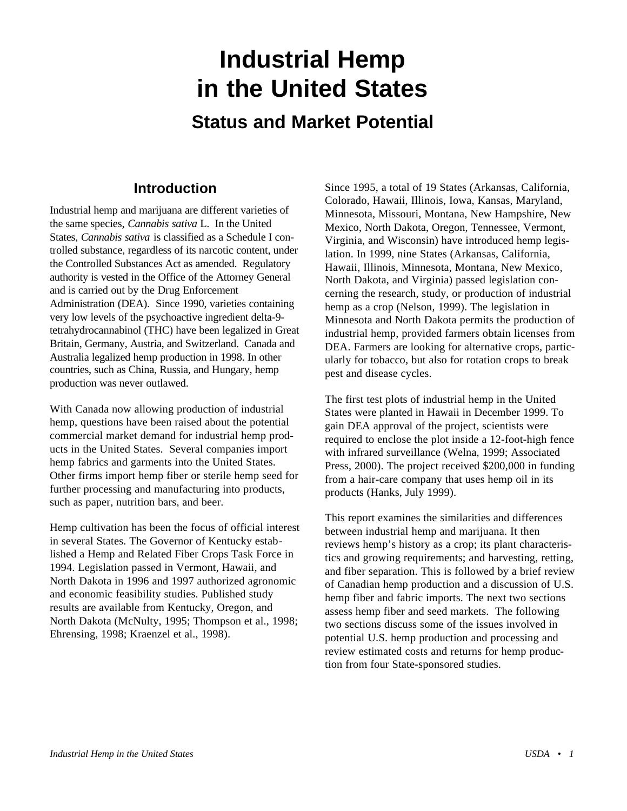# <span id="page-5-0"></span>**Industrial Hemp in the United States Status and Market Potential**

# **Introduction**

Industrial hemp and marijuana are different varieties of the same species, *Cannabis sativa* L*.* In the United States, *Cannabis sativa* is classified as a Schedule I controlled substance, regardless of its narcotic content, under the Controlled Substances Act as amended. Regulatory authority is vested in the Office of the Attorney General and is carried out by the Drug Enforcement Administration (DEA). Since 1990, varieties containing very low levels of the psychoactive ingredient delta-9 tetrahydrocannabinol (THC) have been legalized in Great Britain, Germany, Austria, and Switzerland. Canada and Australia legalized hemp production in 1998. In other countries, such as China, Russia, and Hungary, hemp production was never outlawed.

With Canada now allowing production of industrial hemp, questions have been raised about the potential commercial market demand for industrial hemp products in the United States. Several companies import hemp fabrics and garments into the United States. Other firms import hemp fiber or sterile hemp seed for further processing and manufacturing into products, such as paper, nutrition bars, and beer.

Hemp cultivation has been the focus of official interest in several States. The Governor of Kentucky established a Hemp and Related Fiber Crops Task Force in 1994. Legislation passed in Vermont, Hawaii, and North Dakota in 1996 and 1997 authorized agronomic and economic feasibility studies. Published study results are available from Kentucky, Oregon, and North Dakota (McNulty, 1995; Thompson et al., 1998; Ehrensing, 1998; Kraenzel et al., 1998).

Since 1995, a total of 19 States (Arkansas, California, Colorado, Hawaii, Illinois, Iowa, Kansas, Maryland, Minnesota, Missouri, Montana, New Hampshire, New Mexico, North Dakota, Oregon, Tennessee, Vermont, Virginia, and Wisconsin) have introduced hemp legislation. In 1999, nine States (Arkansas, California, Hawaii, Illinois, Minnesota, Montana, New Mexico, North Dakota, and Virginia) passed legislation concerning the research, study, or production of industrial hemp as a crop (Nelson, 1999). The legislation in Minnesota and North Dakota permits the production of industrial hemp, provided farmers obtain licenses from DEA. Farmers are looking for alternative crops, particularly for tobacco, but also for rotation crops to break pest and disease cycles.

The first test plots of industrial hemp in the United States were planted in Hawaii in December 1999. To gain DEA approval of the project, scientists were required to enclose the plot inside a 12-foot-high fence with infrared surveillance (Welna, 1999; Associated Press, 2000). The project received \$200,000 in funding from a hair-care company that uses hemp oil in its products (Hanks, July 1999).

This report examines the similarities and differences between industrial hemp and marijuana. It then reviews hemp's history as a crop; its plant characteristics and growing requirements; and harvesting, retting, and fiber separation. This is followed by a brief review of Canadian hemp production and a discussion of U.S. hemp fiber and fabric imports. The next two sections assess hemp fiber and seed markets. The following two sections discuss some of the issues involved in potential U.S. hemp production and processing and review estimated costs and returns for hemp production from four State-sponsored studies.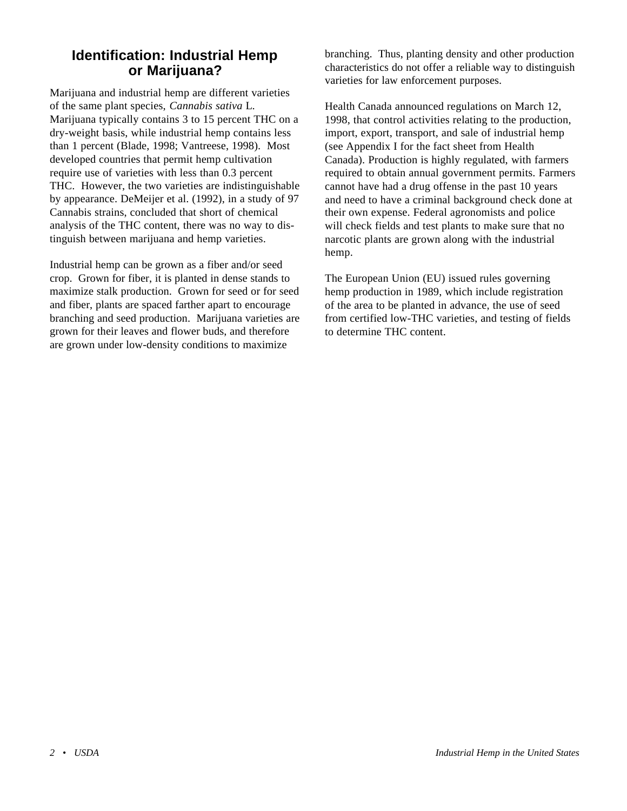# <span id="page-6-0"></span>**Identification: Industrial Hemp or Marijuana?**

Marijuana and industrial hemp are different varieties of the same plant species, *Cannabis sativa* L*.* Marijuana typically contains 3 to 15 percent THC on a dry-weight basis, while industrial hemp contains less than 1 percent (Blade, 1998; Vantreese, 1998). Most developed countries that permit hemp cultivation require use of varieties with less than 0.3 percent THC. However, the two varieties are indistinguishable by appearance. DeMeijer et al. (1992), in a study of 97 Cannabis strains, concluded that short of chemical analysis of the THC content, there was no way to distinguish between marijuana and hemp varieties.

Industrial hemp can be grown as a fiber and/or seed crop. Grown for fiber, it is planted in dense stands to maximize stalk production. Grown for seed or for seed and fiber, plants are spaced farther apart to encourage branching and seed production. Marijuana varieties are grown for their leaves and flower buds, and therefore are grown under low-density conditions to maximize

branching. Thus, planting density and other production characteristics do not offer a reliable way to distinguish varieties for law enforcement purposes.

Health Canada announced regulations on March 12, 1998, that control activities relating to the production, import, export, transport, and sale of industrial hemp (see Appendix I for the fact sheet from Health Canada). Production is highly regulated, with farmers required to obtain annual government permits. Farmers cannot have had a drug offense in the past 10 years and need to have a criminal background check done at their own expense. Federal agronomists and police will check fields and test plants to make sure that no narcotic plants are grown along with the industrial hemp.

The European Union (EU) issued rules governing hemp production in 1989, which include registration of the area to be planted in advance, the use of seed from certified low-THC varieties, and testing of fields to determine THC content.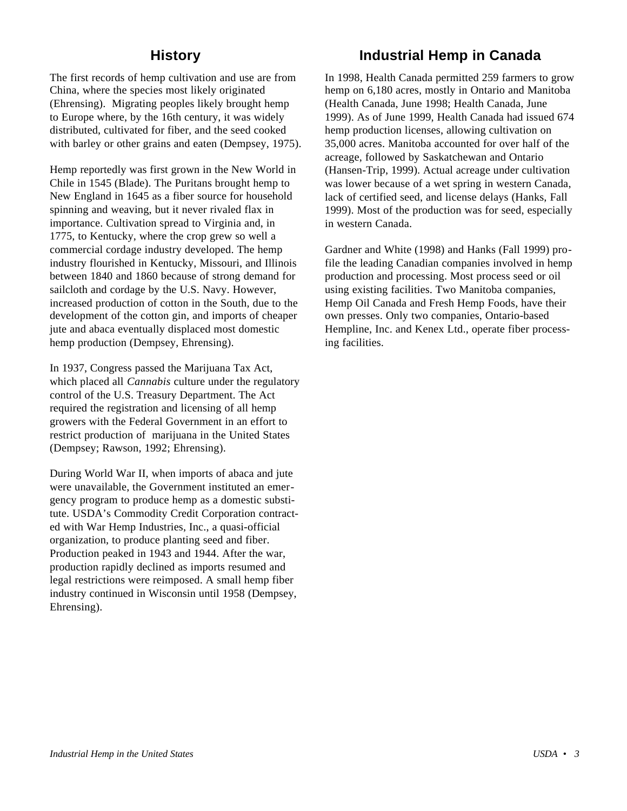# **History**

<span id="page-7-0"></span>The first records of hemp cultivation and use are from China, where the species most likely originated (Ehrensing). Migrating peoples likely brought hemp to Europe where, by the 16th century, it was widely distributed, cultivated for fiber, and the seed cooked with barley or other grains and eaten (Dempsey, 1975).

Hemp reportedly was first grown in the New World in Chile in 1545 (Blade). The Puritans brought hemp to New England in 1645 as a fiber source for household spinning and weaving, but it never rivaled flax in importance. Cultivation spread to Virginia and, in 1775, to Kentucky, where the crop grew so well a commercial cordage industry developed. The hemp industry flourished in Kentucky, Missouri, and Illinois between 1840 and 1860 because of strong demand for sailcloth and cordage by the U.S. Navy. However, increased production of cotton in the South, due to the development of the cotton gin, and imports of cheaper jute and abaca eventually displaced most domestic hemp production (Dempsey, Ehrensing).

In 1937, Congress passed the Marijuana Tax Act, which placed all *Cannabis* culture under the regulatory control of the U.S. Treasury Department. The Act required the registration and licensing of all hemp growers with the Federal Government in an effort to restrict production of marijuana in the United States (Dempsey; Rawson, 1992; Ehrensing).

During World War II, when imports of abaca and jute were unavailable, the Government instituted an emergency program to produce hemp as a domestic substitute. USDA's Commodity Credit Corporation contracted with War Hemp Industries, Inc., a quasi-official organization, to produce planting seed and fiber. Production peaked in 1943 and 1944. After the war, production rapidly declined as imports resumed and legal restrictions were reimposed. A small hemp fiber industry continued in Wisconsin until 1958 (Dempsey, Ehrensing).

# **Industrial Hemp in Canada**

In 1998, Health Canada permitted 259 farmers to grow hemp on 6,180 acres, mostly in Ontario and Manitoba (Health Canada, June 1998; Health Canada, June 1999). As of June 1999, Health Canada had issued 674 hemp production licenses, allowing cultivation on 35,000 acres. Manitoba accounted for over half of the acreage, followed by Saskatchewan and Ontario (Hansen-Trip, 1999). Actual acreage under cultivation was lower because of a wet spring in western Canada, lack of certified seed, and license delays (Hanks, Fall 1999). Most of the production was for seed, especially in western Canada.

Gardner and White (1998) and Hanks (Fall 1999) profile the leading Canadian companies involved in hemp production and processing. Most process seed or oil using existing facilities. Two Manitoba companies, Hemp Oil Canada and Fresh Hemp Foods, have their own presses. Only two companies, Ontario-based Hempline, Inc. and Kenex Ltd., operate fiber processing facilities.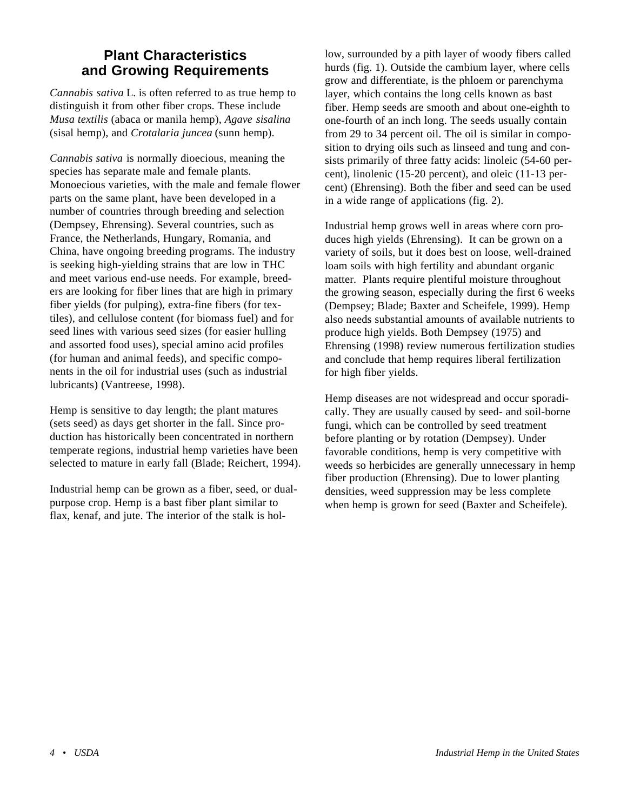# <span id="page-8-0"></span>**Plant Characteristics and Growing Requirements**

*Cannabis sativa* L*.* is often referred to as true hemp to distinguish it from other fiber crops. These include *Musa textilis* (abaca or manila hemp), *Agave sisalina* (sisal hemp), and *Crotalaria juncea* (sunn hemp).

*Cannabis sativa* is normally dioecious, meaning the species has separate male and female plants. Monoecious varieties, with the male and female flower parts on the same plant, have been developed in a number of countries through breeding and selection (Dempsey, Ehrensing). Several countries, such as France, the Netherlands, Hungary, Romania, and China, have ongoing breeding programs. The industry is seeking high-yielding strains that are low in THC and meet various end-use needs. For example, breeders are looking for fiber lines that are high in primary fiber yields (for pulping), extra-fine fibers (for textiles), and cellulose content (for biomass fuel) and for seed lines with various seed sizes (for easier hulling and assorted food uses), special amino acid profiles (for human and animal feeds), and specific components in the oil for industrial uses (such as industrial lubricants) (Vantreese, 1998).

Hemp is sensitive to day length; the plant matures (sets seed) as days get shorter in the fall. Since production has historically been concentrated in northern temperate regions, industrial hemp varieties have been selected to mature in early fall (Blade; Reichert, 1994).

Industrial hemp can be grown as a fiber, seed, or dualpurpose crop. Hemp is a bast fiber plant similar to flax, kenaf, and jute. The interior of the stalk is hol-

low, surrounded by a pith layer of woody fibers called hurds (fig. 1). Outside the cambium layer, where cells grow and differentiate, is the phloem or parenchyma layer, which contains the long cells known as bast fiber. Hemp seeds are smooth and about one-eighth to one-fourth of an inch long. The seeds usually contain from 29 to 34 percent oil. The oil is similar in composition to drying oils such as linseed and tung and consists primarily of three fatty acids: linoleic (54-60 percent), linolenic (15-20 percent), and oleic (11-13 percent) (Ehrensing). Both the fiber and seed can be used in a wide range of applications (fig. 2).

Industrial hemp grows well in areas where corn produces high yields (Ehrensing). It can be grown on a variety of soils, but it does best on loose, well-drained loam soils with high fertility and abundant organic matter. Plants require plentiful moisture throughout the growing season, especially during the first 6 weeks (Dempsey; Blade; Baxter and Scheifele, 1999). Hemp also needs substantial amounts of available nutrients to produce high yields. Both Dempsey (1975) and Ehrensing (1998) review numerous fertilization studies and conclude that hemp requires liberal fertilization for high fiber yields.

Hemp diseases are not widespread and occur sporadically. They are usually caused by seed- and soil-borne fungi, which can be controlled by seed treatment before planting or by rotation (Dempsey). Under favorable conditions, hemp is very competitive with weeds so herbicides are generally unnecessary in hemp fiber production (Ehrensing). Due to lower planting densities, weed suppression may be less complete when hemp is grown for seed (Baxter and Scheifele).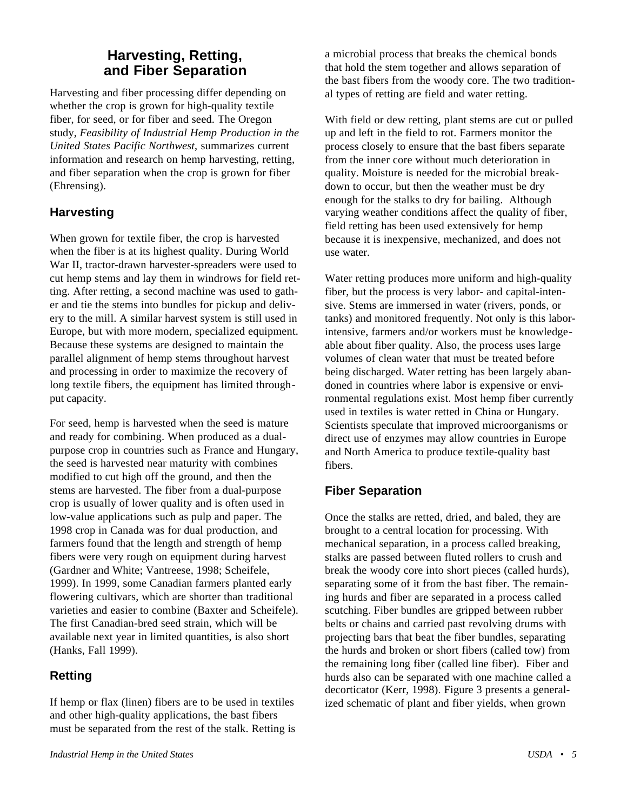# **Harvesting, Retting, and Fiber Separation**

<span id="page-9-0"></span>Harvesting and fiber processing differ depending on whether the crop is grown for high-quality textile fiber, for seed, or for fiber and seed. The Oregon study, *Feasibility of Industrial Hemp Production in the United States Pacific Northwest*, summarizes current information and research on hemp harvesting, retting, and fiber separation when the crop is grown for fiber (Ehrensing).

# **Harvesting**

When grown for textile fiber, the crop is harvested when the fiber is at its highest quality. During World War II, tractor-drawn harvester-spreaders were used to cut hemp stems and lay them in windrows for field retting. After retting, a second machine was used to gather and tie the stems into bundles for pickup and delivery to the mill. A similar harvest system is still used in Europe, but with more modern, specialized equipment. Because these systems are designed to maintain the parallel alignment of hemp stems throughout harvest and processing in order to maximize the recovery of long textile fibers, the equipment has limited throughput capacity.

For seed, hemp is harvested when the seed is mature and ready for combining. When produced as a dualpurpose crop in countries such as France and Hungary, the seed is harvested near maturity with combines modified to cut high off the ground, and then the stems are harvested. The fiber from a dual-purpose crop is usually of lower quality and is often used in low-value applications such as pulp and paper. The 1998 crop in Canada was for dual production, and farmers found that the length and strength of hemp fibers were very rough on equipment during harvest (Gardner and White; Vantreese, 1998; Scheifele, 1999). In 1999, some Canadian farmers planted early flowering cultivars, which are shorter than traditional varieties and easier to combine (Baxter and Scheifele). The first Canadian-bred seed strain, which will be available next year in limited quantities, is also short (Hanks, Fall 1999).

# **Retting**

If hemp or flax (linen) fibers are to be used in textiles and other high-quality applications, the bast fibers must be separated from the rest of the stalk. Retting is

a microbial process that breaks the chemical bonds that hold the stem together and allows separation of the bast fibers from the woody core. The two traditional types of retting are field and water retting.

With field or dew retting, plant stems are cut or pulled up and left in the field to rot. Farmers monitor the process closely to ensure that the bast fibers separate from the inner core without much deterioration in quality. Moisture is needed for the microbial breakdown to occur, but then the weather must be dry enough for the stalks to dry for bailing. Although varying weather conditions affect the quality of fiber, field retting has been used extensively for hemp because it is inexpensive, mechanized, and does not use water.

Water retting produces more uniform and high-quality fiber, but the process is very labor- and capital-intensive. Stems are immersed in water (rivers, ponds, or tanks) and monitored frequently. Not only is this laborintensive, farmers and/or workers must be knowledgeable about fiber quality. Also, the process uses large volumes of clean water that must be treated before being discharged. Water retting has been largely abandoned in countries where labor is expensive or environmental regulations exist. Most hemp fiber currently used in textiles is water retted in China or Hungary. Scientists speculate that improved microorganisms or direct use of enzymes may allow countries in Europe and North America to produce textile-quality bast fibers.

#### **Fiber Separation**

Once the stalks are retted, dried, and baled, they are brought to a central location for processing. With mechanical separation, in a process called breaking, stalks are passed between fluted rollers to crush and break the woody core into short pieces (called hurds), separating some of it from the bast fiber. The remaining hurds and fiber are separated in a process called scutching. Fiber bundles are gripped between rubber belts or chains and carried past revolving drums with projecting bars that beat the fiber bundles, separating the hurds and broken or short fibers (called tow) from the remaining long fiber (called line fiber). Fiber and hurds also can be separated with one machine called a decorticator (Kerr, 1998). Figure 3 presents a generalized schematic of plant and fiber yields, when grown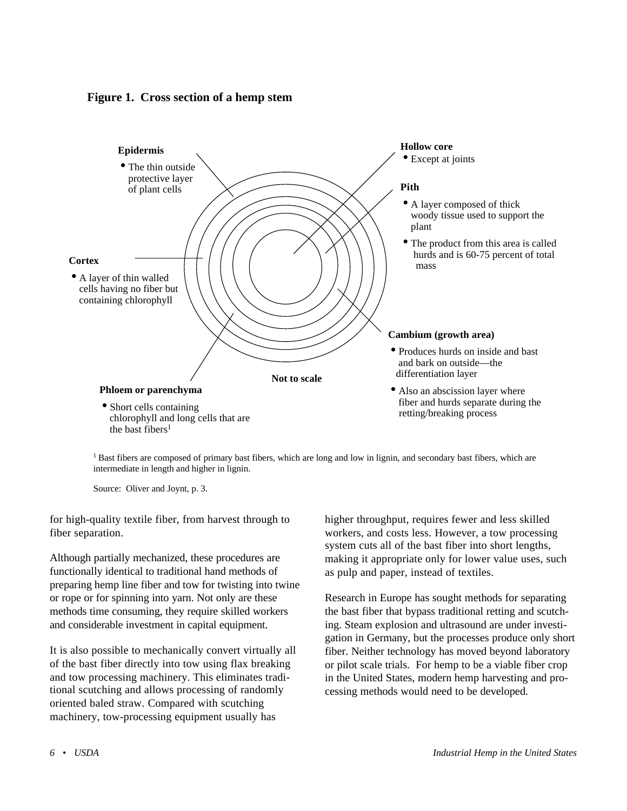**Figure 1. Cross section of a hemp stem**



 $<sup>1</sup>$  Bast fibers are composed of primary bast fibers, which are long and low in lignin, and secondary bast fibers, which are</sup> intermediate in length and higher in lignin.

Source: Oliver and Joynt, p. 3.

for high-quality textile fiber, from harvest through to fiber separation.

Although partially mechanized, these procedures are functionally identical to traditional hand methods of preparing hemp line fiber and tow for twisting into twine or rope or for spinning into yarn. Not only are these methods time consuming, they require skilled workers and considerable investment in capital equipment.

It is also possible to mechanically convert virtually all of the bast fiber directly into tow using flax breaking and tow processing machinery. This eliminates traditional scutching and allows processing of randomly oriented baled straw. Compared with scutching machinery, tow-processing equipment usually has

higher throughput, requires fewer and less skilled workers, and costs less. However, a tow processing system cuts all of the bast fiber into short lengths, making it appropriate only for lower value uses, such as pulp and paper, instead of textiles.

Research in Europe has sought methods for separating the bast fiber that bypass traditional retting and scutching. Steam explosion and ultrasound are under investigation in Germany, but the processes produce only short fiber. Neither technology has moved beyond laboratory or pilot scale trials. For hemp to be a viable fiber crop in the United States, modern hemp harvesting and processing methods would need to be developed.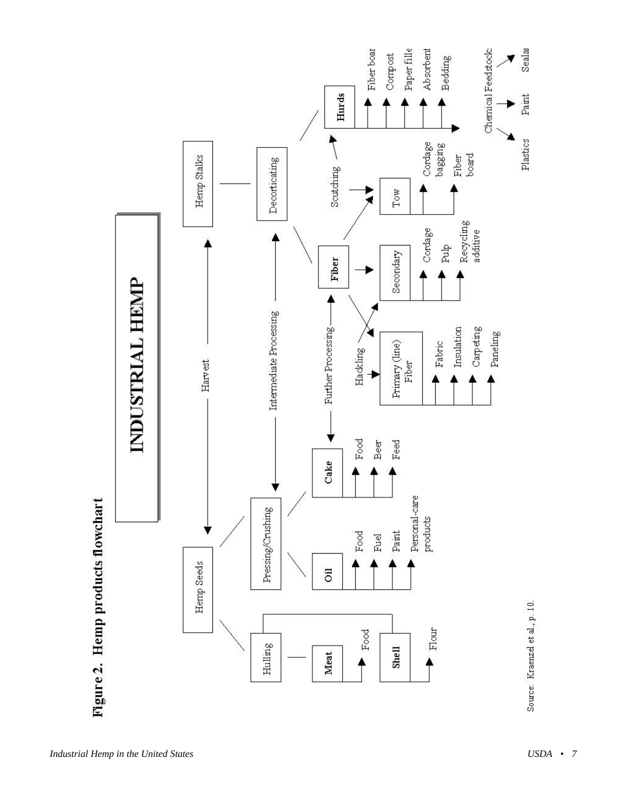

*Industrial Hemp in the United States <i>ISDA • 7*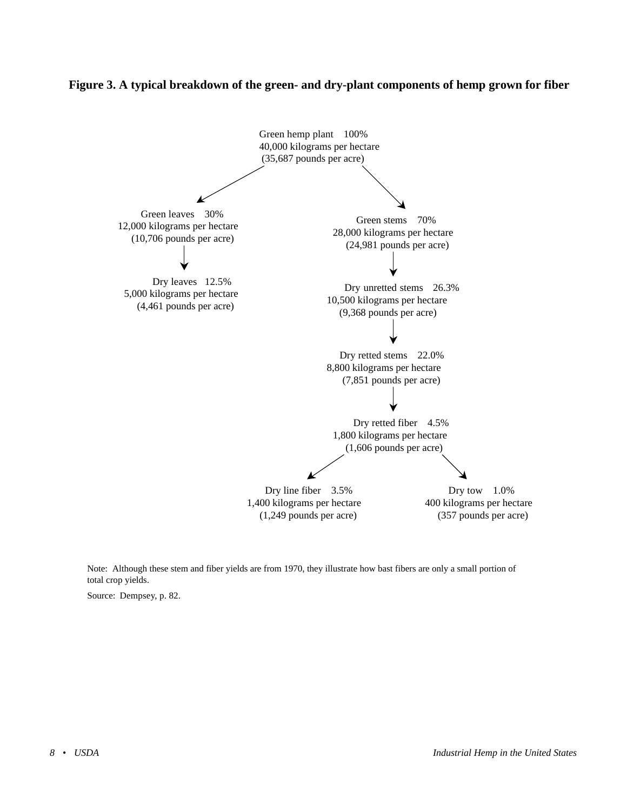#### **Figure 3. A typical breakdown of the green- and dry-plant components of hemp grown for fiber**



Note: Although these stem and fiber yields are from 1970, they illustrate how bast fibers are only a small portion of total crop yields.

Source: Dempsey, p. 82.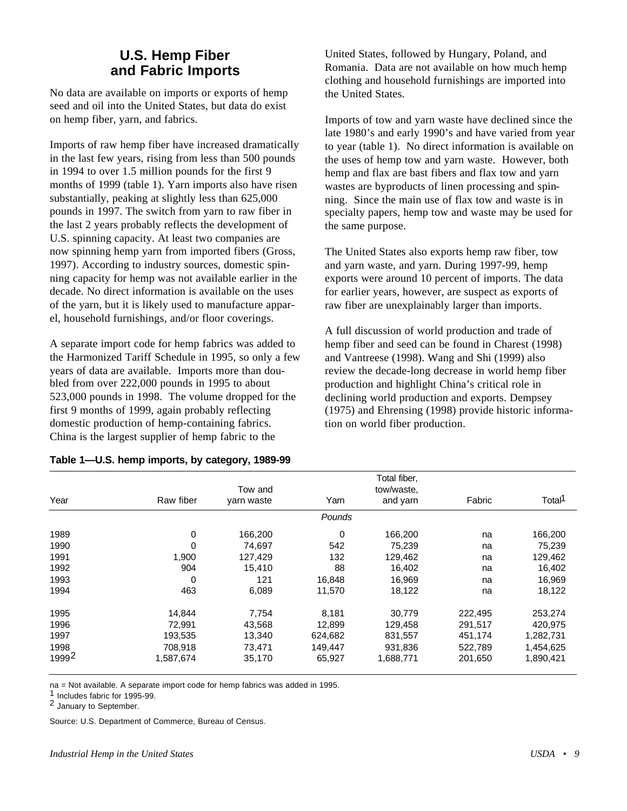# **U.S. Hemp Fiber and Fabric Imports**

<span id="page-13-0"></span>No data are available on imports or exports of hemp seed and oil into the United States, but data do exist on hemp fiber, yarn, and fabrics.

Imports of raw hemp fiber have increased dramatically in the last few years, rising from less than 500 pounds in 1994 to over 1.5 million pounds for the first 9 months of 1999 (table 1). Yarn imports also have risen substantially, peaking at slightly less than 625,000 pounds in 1997. The switch from yarn to raw fiber in the last 2 years probably reflects the development of U.S. spinning capacity. At least two companies are now spinning hemp yarn from imported fibers (Gross, 1997). According to industry sources, domestic spinning capacity for hemp was not available earlier in the decade. No direct information is available on the uses of the yarn, but it is likely used to manufacture apparel, household furnishings, and/or floor coverings.

A separate import code for hemp fabrics was added to the Harmonized Tariff Schedule in 1995, so only a few years of data are available. Imports more than doubled from over 222,000 pounds in 1995 to about 523,000 pounds in 1998. The volume dropped for the first 9 months of 1999, again probably reflecting domestic production of hemp-containing fabrics. China is the largest supplier of hemp fabric to the

| Table 1-U.S. hemp imports, by category, 1989-99 |  |  |  |
|-------------------------------------------------|--|--|--|
|-------------------------------------------------|--|--|--|

United States, followed by Hungary, Poland, and Romania. Data are not available on how much hemp clothing and household furnishings are imported into the United States.

Imports of tow and yarn waste have declined since the late 1980's and early 1990's and have varied from year to year (table 1). No direct information is available on the uses of hemp tow and yarn waste. However, both hemp and flax are bast fibers and flax tow and yarn wastes are byproducts of linen processing and spinning. Since the main use of flax tow and waste is in specialty papers, hemp tow and waste may be used for the same purpose.

The United States also exports hemp raw fiber, tow and yarn waste, and yarn. During 1997-99, hemp exports were around 10 percent of imports. The data for earlier years, however, are suspect as exports of raw fiber are unexplainably larger than imports.

A full discussion of world production and trade of hemp fiber and seed can be found in Charest (1998) and Vantreese (1998). Wang and Shi (1999) also review the decade-long decrease in world hemp fiber production and highlight China's critical role in declining world production and exports. Dempsey (1975) and Ehrensing (1998) provide historic information on world fiber production.

|       |           |            |         | Total fiber, |         |                    |
|-------|-----------|------------|---------|--------------|---------|--------------------|
|       |           | Tow and    |         | tow/waste,   |         |                    |
| Year  | Raw fiber | varn waste | Yarn    | and yarn     | Fabric  | Total <sup>1</sup> |
|       |           |            | Pounds  |              |         |                    |
| 1989  | 0         | 166,200    | 0       | 166,200      | na      | 166,200            |
| 1990  | 0         | 74.697     | 542     | 75,239       | na      | 75,239             |
| 1991  | 1,900     | 127,429    | 132     | 129,462      | na      | 129,462            |
| 1992  | 904       | 15,410     | 88      | 16,402       | na      | 16,402             |
| 1993  | 0         | 121        | 16,848  | 16,969       | na      | 16,969             |
| 1994  | 463       | 6,089      | 11,570  | 18,122       | na      | 18,122             |
| 1995  | 14,844    | 7,754      | 8,181   | 30,779       | 222,495 | 253,274            |
| 1996  | 72,991    | 43,568     | 12,899  | 129,458      | 291,517 | 420,975            |
| 1997  | 193,535   | 13,340     | 624,682 | 831,557      | 451,174 | 1,282,731          |
| 1998  | 708,918   | 73,471     | 149,447 | 931,836      | 522,789 | 1,454,625          |
| 19992 | 1,587,674 | 35,170     | 65,927  | 1,688,771    | 201,650 | 1,890,421          |

na = Not available. A separate import code for hemp fabrics was added in 1995.

1 Includes fabric for 1995-99.

2 January to September.

Source: U.S. Department of Commerce, Bureau of Census.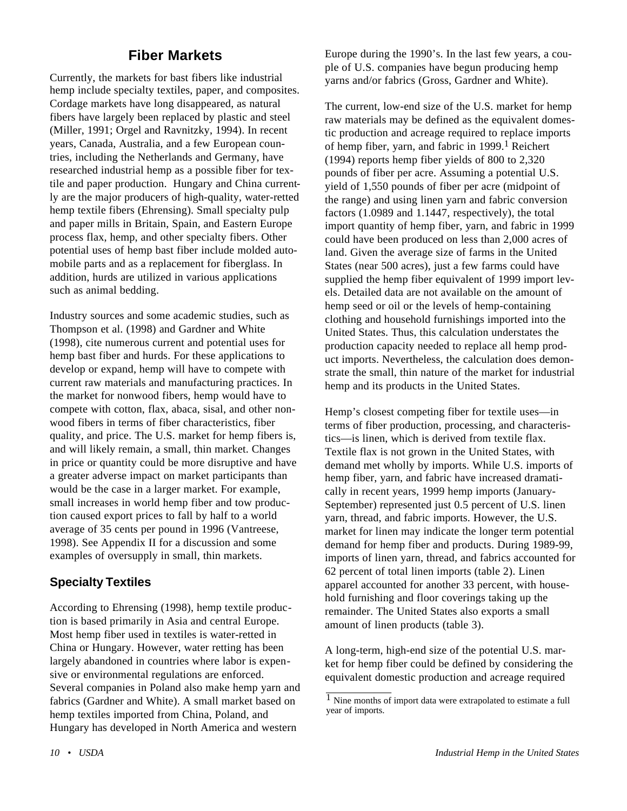# **Fiber Markets**

<span id="page-14-0"></span>Currently, the markets for bast fibers like industrial hemp include specialty textiles, paper, and composites. Cordage markets have long disappeared, as natural fibers have largely been replaced by plastic and steel (Miller, 1991; Orgel and Ravnitzky, 1994). In recent years, Canada, Australia, and a few European countries, including the Netherlands and Germany, have researched industrial hemp as a possible fiber for textile and paper production. Hungary and China currently are the major producers of high-quality, water-retted hemp textile fibers (Ehrensing). Small specialty pulp and paper mills in Britain, Spain, and Eastern Europe process flax, hemp, and other specialty fibers. Other potential uses of hemp bast fiber include molded automobile parts and as a replacement for fiberglass. In addition, hurds are utilized in various applications such as animal bedding.

Industry sources and some academic studies, such as Thompson et al. (1998) and Gardner and White (1998), cite numerous current and potential uses for hemp bast fiber and hurds. For these applications to develop or expand, hemp will have to compete with current raw materials and manufacturing practices. In the market for nonwood fibers, hemp would have to compete with cotton, flax, abaca, sisal, and other nonwood fibers in terms of fiber characteristics, fiber quality, and price. The U.S. market for hemp fibers is, and will likely remain, a small, thin market. Changes in price or quantity could be more disruptive and have a greater adverse impact on market participants than would be the case in a larger market. For example, small increases in world hemp fiber and tow production caused export prices to fall by half to a world average of 35 cents per pound in 1996 (Vantreese, 1998). See Appendix II for a discussion and some examples of oversupply in small, thin markets.

# **Specialty Textiles**

According to Ehrensing (1998), hemp textile production is based primarily in Asia and central Europe. Most hemp fiber used in textiles is water-retted in China or Hungary. However, water retting has been largely abandoned in countries where labor is expensive or environmental regulations are enforced. Several companies in Poland also make hemp yarn and fabrics (Gardner and White). A small market based on hemp textiles imported from China, Poland, and Hungary has developed in North America and western

Europe during the 1990's. In the last few years, a couple of U.S. companies have begun producing hemp yarns and/or fabrics (Gross, Gardner and White).

The current, low-end size of the U.S. market for hemp raw materials may be defined as the equivalent domestic production and acreage required to replace imports of hemp fiber, yarn, and fabric in  $1999$ .<sup>1</sup> Reichert (1994) reports hemp fiber yields of 800 to 2,320 pounds of fiber per acre. Assuming a potential U.S. yield of 1,550 pounds of fiber per acre (midpoint of the range) and using linen yarn and fabric conversion factors (1.0989 and 1.1447, respectively), the total import quantity of hemp fiber, yarn, and fabric in 1999 could have been produced on less than 2,000 acres of land. Given the average size of farms in the United States (near 500 acres), just a few farms could have supplied the hemp fiber equivalent of 1999 import levels. Detailed data are not available on the amount of hemp seed or oil or the levels of hemp-containing clothing and household furnishings imported into the United States. Thus, this calculation understates the production capacity needed to replace all hemp product imports. Nevertheless, the calculation does demonstrate the small, thin nature of the market for industrial hemp and its products in the United States.

Hemp's closest competing fiber for textile uses—in terms of fiber production, processing, and characteristics—is linen, which is derived from textile flax. Textile flax is not grown in the United States, with demand met wholly by imports. While U.S. imports of hemp fiber, yarn, and fabric have increased dramatically in recent years, 1999 hemp imports (January-September) represented just 0.5 percent of U.S. linen yarn, thread, and fabric imports. However, the U.S. market for linen may indicate the longer term potential demand for hemp fiber and products. During 1989-99, imports of linen yarn, thread, and fabrics accounted for 62 percent of total linen imports (table 2). Linen apparel accounted for another 33 percent, with household furnishing and floor coverings taking up the remainder. The United States also exports a small amount of linen products (table 3).

A long-term, high-end size of the potential U.S. market for hemp fiber could be defined by considering the equivalent domestic production and acreage required

 $\overline{1}$  Nine months of import data were extrapolated to estimate a full year of imports.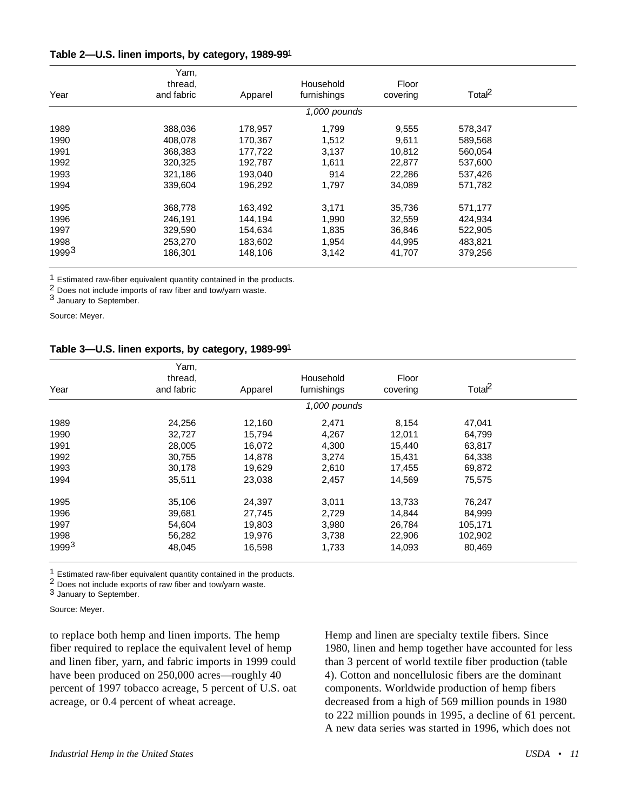| Table 2—U.S. linen imports, by category, 1989-991 |  |  |  |
|---------------------------------------------------|--|--|--|
|---------------------------------------------------|--|--|--|

|                   | Yarn,      |         |              |          |                    |  |
|-------------------|------------|---------|--------------|----------|--------------------|--|
|                   | thread,    |         | Household    | Floor    |                    |  |
| Year              | and fabric | Apparel | furnishings  | covering | Total <sup>2</sup> |  |
|                   |            |         | 1,000 pounds |          |                    |  |
| 1989              | 388,036    | 178,957 | 1,799        | 9,555    | 578,347            |  |
| 1990              | 408,078    | 170,367 | 1,512        | 9,611    | 589,568            |  |
| 1991              | 368,383    | 177,722 | 3,137        | 10.812   | 560,054            |  |
| 1992              | 320,325    | 192,787 | 1.611        | 22,877   | 537,600            |  |
| 1993              | 321,186    | 193.040 | 914          | 22,286   | 537,426            |  |
| 1994              | 339,604    | 196,292 | 1,797        | 34,089   | 571,782            |  |
| 1995              | 368,778    | 163,492 | 3,171        | 35,736   | 571,177            |  |
| 1996              | 246,191    | 144,194 | 1,990        | 32,559   | 424,934            |  |
| 1997              | 329,590    | 154,634 | 1,835        | 36,846   | 522,905            |  |
| 1998              | 253,270    | 183,602 | 1.954        | 44,995   | 483,821            |  |
| 1999 <sup>3</sup> | 186,301    | 148,106 | 3,142        | 41,707   | 379,256            |  |

1 Estimated raw-fiber equivalent quantity contained in the products.

2 Does not include imports of raw fiber and tow/yarn waste.

3 January to September.

Source: Meyer.

#### **Table 3—U.S. linen exports, by category, 1989-99**1

|                   | Yarn,                 |         |                          |                   |                    |  |
|-------------------|-----------------------|---------|--------------------------|-------------------|--------------------|--|
| Year              | thread,<br>and fabric | Apparel | Household<br>furnishings | Floor<br>covering | Total <sup>2</sup> |  |
|                   |                       |         | 1,000 pounds             |                   |                    |  |
| 1989              | 24,256                | 12,160  | 2,471                    | 8,154             | 47,041             |  |
| 1990              | 32,727                | 15,794  | 4,267                    | 12,011            | 64,799             |  |
| 1991              | 28,005                | 16.072  | 4,300                    | 15,440            | 63,817             |  |
| 1992              | 30,755                | 14,878  | 3,274                    | 15,431            | 64,338             |  |
| 1993              | 30,178                | 19,629  | 2,610                    | 17,455            | 69,872             |  |
| 1994              | 35,511                | 23,038  | 2,457                    | 14,569            | 75,575             |  |
| 1995              | 35,106                | 24,397  | 3,011                    | 13,733            | 76,247             |  |
| 1996              | 39,681                | 27,745  | 2,729                    | 14.844            | 84.999             |  |
| 1997              | 54,604                | 19,803  | 3,980                    | 26,784            | 105,171            |  |
| 1998              | 56,282                | 19,976  | 3,738                    | 22,906            | 102,902            |  |
| 1999 <sup>3</sup> | 48,045                | 16,598  | 1,733                    | 14,093            | 80,469             |  |

1 Estimated raw-fiber equivalent quantity contained in the products.

2 Does not include exports of raw fiber and tow/yarn waste.

3 January to September.

Source: Meyer.

to replace both hemp and linen imports. The hemp fiber required to replace the equivalent level of hemp and linen fiber, yarn, and fabric imports in 1999 could have been produced on 250,000 acres—roughly 40 percent of 1997 tobacco acreage, 5 percent of U.S. oat acreage, or 0.4 percent of wheat acreage.

Hemp and linen are specialty textile fibers. Since 1980, linen and hemp together have accounted for less than 3 percent of world textile fiber production (table 4). Cotton and noncellulosic fibers are the dominant components. Worldwide production of hemp fibers decreased from a high of 569 million pounds in 1980 to 222 million pounds in 1995, a decline of 61 percent. A new data series was started in 1996, which does not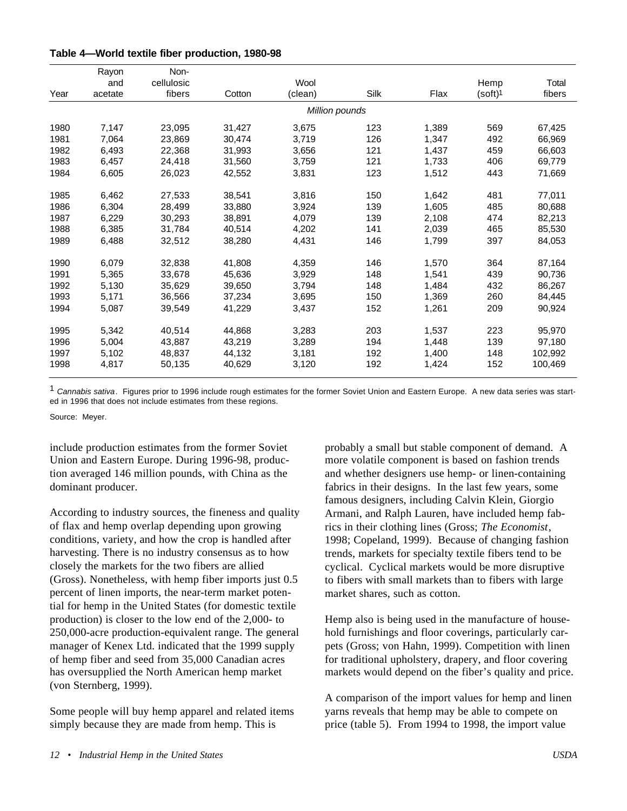| Table 4-World textile fiber production, 1980-98 |  |  |  |
|-------------------------------------------------|--|--|--|
|-------------------------------------------------|--|--|--|

|      | Rayon   | Non-       |        |                |      |       |                     |         |
|------|---------|------------|--------|----------------|------|-------|---------------------|---------|
|      | and     | cellulosic |        | Wool           |      |       | Hemp                | Total   |
| Year | acetate | fibers     | Cotton | (clean)        | Silk | Flax  | (soft) <sup>1</sup> | fibers  |
|      |         |            |        | Million pounds |      |       |                     |         |
| 1980 | 7,147   | 23.095     | 31.427 | 3.675          | 123  | 1.389 | 569                 | 67,425  |
| 1981 | 7,064   | 23.869     | 30.474 | 3,719          | 126  | 1.347 | 492                 | 66,969  |
| 1982 | 6,493   | 22,368     | 31,993 | 3,656          | 121  | 1,437 | 459                 | 66,603  |
| 1983 | 6,457   | 24,418     | 31,560 | 3.759          | 121  | 1,733 | 406                 | 69,779  |
| 1984 | 6,605   | 26,023     | 42,552 | 3,831          | 123  | 1,512 | 443                 | 71,669  |
| 1985 | 6,462   | 27,533     | 38,541 | 3.816          | 150  | 1,642 | 481                 | 77,011  |
| 1986 | 6,304   | 28,499     | 33,880 | 3,924          | 139  | 1,605 | 485                 | 80,688  |
| 1987 | 6,229   | 30.293     | 38,891 | 4.079          | 139  | 2,108 | 474                 | 82,213  |
| 1988 | 6,385   | 31,784     | 40,514 | 4,202          | 141  | 2,039 | 465                 | 85,530  |
| 1989 | 6,488   | 32,512     | 38,280 | 4,431          | 146  | 1,799 | 397                 | 84,053  |
| 1990 | 6,079   | 32,838     | 41,808 | 4,359          | 146  | 1.570 | 364                 | 87,164  |
| 1991 | 5,365   | 33.678     | 45,636 | 3,929          | 148  | 1,541 | 439                 | 90.736  |
| 1992 | 5,130   | 35,629     | 39,650 | 3,794          | 148  | 1,484 | 432                 | 86,267  |
| 1993 | 5,171   | 36,566     | 37,234 | 3,695          | 150  | 1,369 | 260                 | 84,445  |
| 1994 | 5,087   | 39,549     | 41,229 | 3,437          | 152  | 1,261 | 209                 | 90,924  |
| 1995 | 5,342   | 40,514     | 44,868 | 3,283          | 203  | 1,537 | 223                 | 95,970  |
| 1996 | 5,004   | 43,887     | 43,219 | 3,289          | 194  | 1,448 | 139                 | 97,180  |
| 1997 | 5,102   | 48.837     | 44,132 | 3,181          | 192  | 1,400 | 148                 | 102,992 |
| 1998 | 4,817   | 50,135     | 40,629 | 3,120          | 192  | 1,424 | 152                 | 100,469 |

1 *Cannabis sativa*. Figures prior to 1996 include rough estimates for the former Soviet Union and Eastern Europe. A new data series was started in 1996 that does not include estimates from these regions.

Source: Meyer.

include production estimates from the former Soviet Union and Eastern Europe. During 1996-98, production averaged 146 million pounds, with China as the dominant producer.

According to industry sources, the fineness and quality of flax and hemp overlap depending upon growing conditions, variety, and how the crop is handled after harvesting. There is no industry consensus as to how closely the markets for the two fibers are allied (Gross). Nonetheless, with hemp fiber imports just 0.5 percent of linen imports, the near-term market potential for hemp in the United States (for domestic textile production) is closer to the low end of the 2,000- to 250,000-acre production-equivalent range. The general manager of Kenex Ltd. indicated that the 1999 supply of hemp fiber and seed from 35,000 Canadian acres has oversupplied the North American hemp market (von Sternberg, 1999).

Some people will buy hemp apparel and related items simply because they are made from hemp. This is

probably a small but stable component of demand. A more volatile component is based on fashion trends and whether designers use hemp- or linen-containing fabrics in their designs. In the last few years, some famous designers, including Calvin Klein, Giorgio Armani, and Ralph Lauren, have included hemp fabrics in their clothing lines (Gross; *The Economist*, 1998; Copeland, 1999). Because of changing fashion trends, markets for specialty textile fibers tend to be cyclical. Cyclical markets would be more disruptive to fibers with small markets than to fibers with large market shares, such as cotton.

Hemp also is being used in the manufacture of household furnishings and floor coverings, particularly carpets (Gross; von Hahn, 1999). Competition with linen for traditional upholstery, drapery, and floor covering markets would depend on the fiber's quality and price.

A comparison of the import values for hemp and linen yarns reveals that hemp may be able to compete on price (table 5). From 1994 to 1998, the import value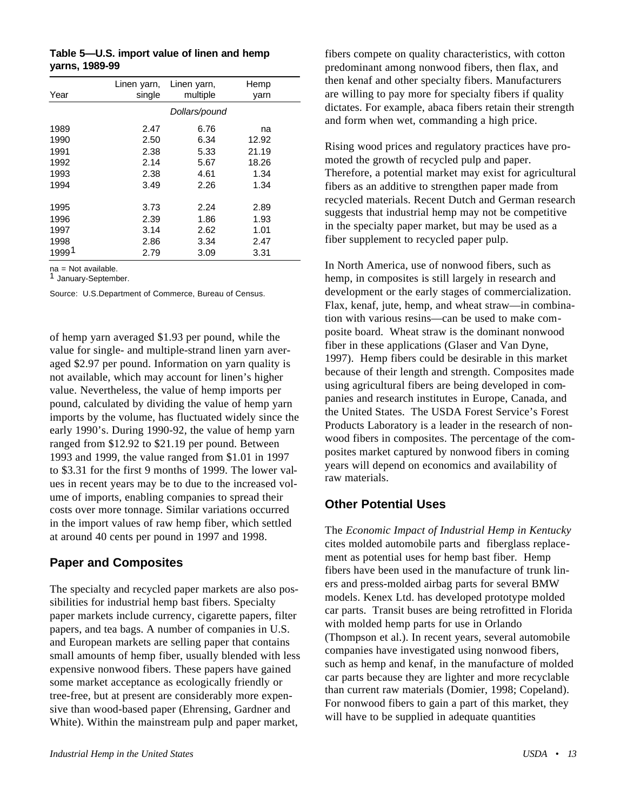|                | Table 5-U.S. import value of linen and hemp |  |
|----------------|---------------------------------------------|--|
| yarns, 1989-99 |                                             |  |

|                   | Linen yarn, | Linen yarn,   | Hemp  |
|-------------------|-------------|---------------|-------|
| Year              | single      | multiple      | yarn  |
|                   |             | Dollars/pound |       |
| 1989              | 2.47        | 6.76          | na    |
| 1990              | 2.50        | 6.34          | 12.92 |
| 1991              | 2.38        | 5.33          | 21.19 |
| 1992              | 2.14        | 5.67          | 18.26 |
| 1993              | 2.38        | 4.61          | 1.34  |
| 1994              | 3.49        | 2.26          | 1.34  |
|                   |             |               |       |
| 1995              | 3.73        | 2.24          | 2.89  |
| 1996              | 2.39        | 1.86          | 1.93  |
| 1997              | 3.14        | 2.62          | 1.01  |
| 1998              | 2.86        | 3.34          | 2.47  |
| 1999 <sup>1</sup> | 2.79        | 3.09          | 3.31  |

na = Not available.

1 January-September.

Source: U.S.Department of Commerce, Bureau of Census.

of hemp yarn averaged \$1.93 per pound, while the value for single- and multiple-strand linen yarn averaged \$2.97 per pound. Information on yarn quality is not available, which may account for linen's higher value. Nevertheless, the value of hemp imports per pound, calculated by dividing the value of hemp yarn imports by the volume, has fluctuated widely since the early 1990's. During 1990-92, the value of hemp yarn ranged from \$12.92 to \$21.19 per pound. Between 1993 and 1999, the value ranged from \$1.01 in 1997 to \$3.31 for the first 9 months of 1999. The lower values in recent years may be to due to the increased volume of imports, enabling companies to spread their costs over more tonnage. Similar variations occurred in the import values of raw hemp fiber, which settled at around 40 cents per pound in 1997 and 1998.

#### **Paper and Composites**

The specialty and recycled paper markets are also possibilities for industrial hemp bast fibers. Specialty paper markets include currency, cigarette papers, filter papers, and tea bags. A number of companies in U.S. and European markets are selling paper that contains small amounts of hemp fiber, usually blended with less expensive nonwood fibers. These papers have gained some market acceptance as ecologically friendly or tree-free, but at present are considerably more expensive than wood-based paper (Ehrensing, Gardner and White). Within the mainstream pulp and paper market,

fibers compete on quality characteristics, with cotton predominant among nonwood fibers, then flax, and then kenaf and other specialty fibers. Manufacturers are willing to pay more for specialty fibers if quality dictates. For example, abaca fibers retain their strength and form when wet, commanding a high price.

Rising wood prices and regulatory practices have promoted the growth of recycled pulp and paper. Therefore, a potential market may exist for agricultural fibers as an additive to strengthen paper made from recycled materials. Recent Dutch and German research suggests that industrial hemp may not be competitive in the specialty paper market, but may be used as a fiber supplement to recycled paper pulp.

In North America, use of nonwood fibers, such as hemp, in composites is still largely in research and development or the early stages of commercialization. Flax, kenaf, jute, hemp, and wheat straw—in combination with various resins—can be used to make composite board. Wheat straw is the dominant nonwood fiber in these applications (Glaser and Van Dyne, 1997). Hemp fibers could be desirable in this market because of their length and strength. Composites made using agricultural fibers are being developed in companies and research institutes in Europe, Canada, and the United States. The USDA Forest Service's Forest Products Laboratory is a leader in the research of nonwood fibers in composites. The percentage of the composites market captured by nonwood fibers in coming years will depend on economics and availability of raw materials.

#### **Other Potential Uses**

The *Economic Impact of Industrial Hemp in Kentucky* cites molded automobile parts and fiberglass replacement as potential uses for hemp bast fiber. Hemp fibers have been used in the manufacture of trunk liners and press-molded airbag parts for several BMW models. Kenex Ltd. has developed prototype molded car parts. Transit buses are being retrofitted in Florida with molded hemp parts for use in Orlando (Thompson et al.). In recent years, several automobile companies have investigated using nonwood fibers, such as hemp and kenaf, in the manufacture of molded car parts because they are lighter and more recyclable than current raw materials (Domier, 1998; Copeland). For nonwood fibers to gain a part of this market, they will have to be supplied in adequate quantities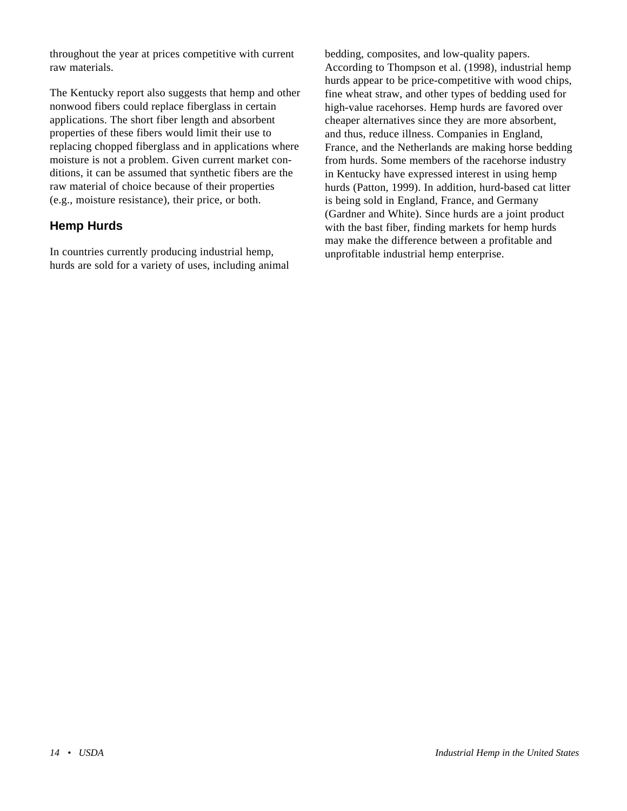throughout the year at prices competitive with current raw materials.

The Kentucky report also suggests that hemp and other nonwood fibers could replace fiberglass in certain applications. The short fiber length and absorbent properties of these fibers would limit their use to replacing chopped fiberglass and in applications where moisture is not a problem. Given current market conditions, it can be assumed that synthetic fibers are the raw material of choice because of their properties (e.g., moisture resistance), their price, or both.

#### **Hemp Hurds**

In countries currently producing industrial hemp, hurds are sold for a variety of uses, including animal

bedding, composites, and low-quality papers. According to Thompson et al. (1998), industrial hemp hurds appear to be price-competitive with wood chips, fine wheat straw, and other types of bedding used for high-value racehorses. Hemp hurds are favored over cheaper alternatives since they are more absorbent, and thus, reduce illness. Companies in England, France, and the Netherlands are making horse bedding from hurds. Some members of the racehorse industry in Kentucky have expressed interest in using hemp hurds (Patton, 1999). In addition, hurd-based cat litter is being sold in England, France, and Germany (Gardner and White). Since hurds are a joint product with the bast fiber, finding markets for hemp hurds may make the difference between a profitable and unprofitable industrial hemp enterprise.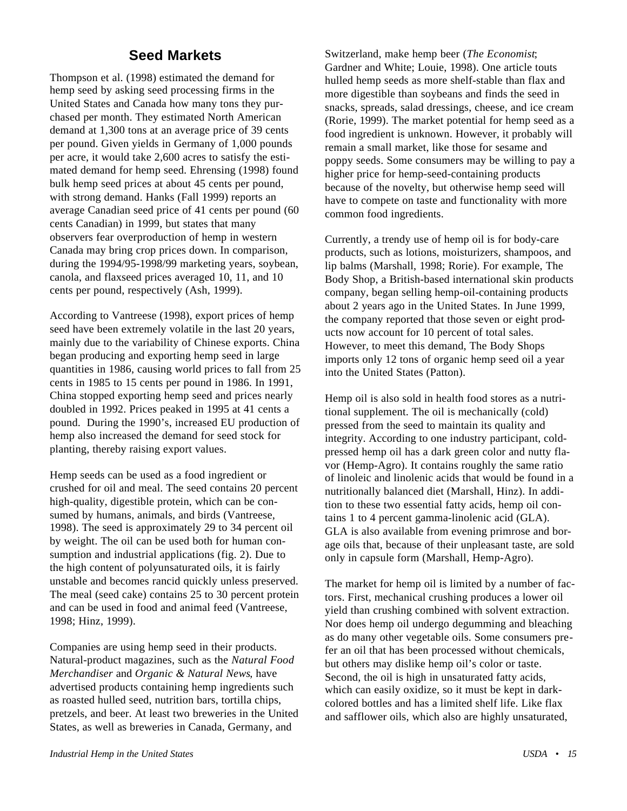# **Seed Markets**

<span id="page-19-0"></span>Thompson et al. (1998) estimated the demand for hemp seed by asking seed processing firms in the United States and Canada how many tons they purchased per month. They estimated North American demand at 1,300 tons at an average price of 39 cents per pound. Given yields in Germany of 1,000 pounds per acre, it would take 2,600 acres to satisfy the estimated demand for hemp seed. Ehrensing (1998) found bulk hemp seed prices at about 45 cents per pound, with strong demand. Hanks (Fall 1999) reports an average Canadian seed price of 41 cents per pound (60 cents Canadian) in 1999, but states that many observers fear overproduction of hemp in western Canada may bring crop prices down. In comparison, during the 1994/95-1998/99 marketing years, soybean, canola, and flaxseed prices averaged 10, 11, and 10 cents per pound, respectively (Ash, 1999).

According to Vantreese (1998), export prices of hemp seed have been extremely volatile in the last 20 years, mainly due to the variability of Chinese exports. China began producing and exporting hemp seed in large quantities in 1986, causing world prices to fall from 25 cents in 1985 to 15 cents per pound in 1986. In 1991, China stopped exporting hemp seed and prices nearly doubled in 1992. Prices peaked in 1995 at 41 cents a pound. During the 1990's, increased EU production of hemp also increased the demand for seed stock for planting, thereby raising export values.

Hemp seeds can be used as a food ingredient or crushed for oil and meal. The seed contains 20 percent high-quality, digestible protein, which can be consumed by humans, animals, and birds (Vantreese, 1998). The seed is approximately 29 to 34 percent oil by weight. The oil can be used both for human consumption and industrial applications (fig. 2). Due to the high content of polyunsaturated oils, it is fairly unstable and becomes rancid quickly unless preserved. The meal (seed cake) contains 25 to 30 percent protein and can be used in food and animal feed (Vantreese, 1998; Hinz, 1999).

Companies are using hemp seed in their products. Natural-product magazines, such as the *Natural Food Merchandiser* and *Organic & Natural News*, have advertised products containing hemp ingredients such as roasted hulled seed, nutrition bars, tortilla chips, pretzels, and beer. At least two breweries in the United States, as well as breweries in Canada, Germany, and

Switzerland, make hemp beer (*The Economist*; Gardner and White; Louie, 1998). One article touts hulled hemp seeds as more shelf-stable than flax and more digestible than soybeans and finds the seed in snacks, spreads, salad dressings, cheese, and ice cream (Rorie, 1999). The market potential for hemp seed as a food ingredient is unknown. However, it probably will remain a small market, like those for sesame and poppy seeds. Some consumers may be willing to pay a higher price for hemp-seed-containing products because of the novelty, but otherwise hemp seed will have to compete on taste and functionality with more common food ingredients.

Currently, a trendy use of hemp oil is for body-care products, such as lotions, moisturizers, shampoos, and lip balms (Marshall, 1998; Rorie). For example, The Body Shop, a British-based international skin products company, began selling hemp-oil-containing products about 2 years ago in the United States. In June 1999, the company reported that those seven or eight products now account for 10 percent of total sales. However, to meet this demand, The Body Shops imports only 12 tons of organic hemp seed oil a year into the United States (Patton).

Hemp oil is also sold in health food stores as a nutritional supplement. The oil is mechanically (cold) pressed from the seed to maintain its quality and integrity. According to one industry participant, coldpressed hemp oil has a dark green color and nutty flavor (Hemp-Agro). It contains roughly the same ratio of linoleic and linolenic acids that would be found in a nutritionally balanced diet (Marshall, Hinz). In addition to these two essential fatty acids, hemp oil contains 1 to 4 percent gamma-linolenic acid (GLA). GLA is also available from evening primrose and borage oils that, because of their unpleasant taste, are sold only in capsule form (Marshall, Hemp-Agro).

The market for hemp oil is limited by a number of factors. First, mechanical crushing produces a lower oil yield than crushing combined with solvent extraction. Nor does hemp oil undergo degumming and bleaching as do many other vegetable oils. Some consumers prefer an oil that has been processed without chemicals, but others may dislike hemp oil's color or taste. Second, the oil is high in unsaturated fatty acids, which can easily oxidize, so it must be kept in darkcolored bottles and has a limited shelf life. Like flax and safflower oils, which also are highly unsaturated,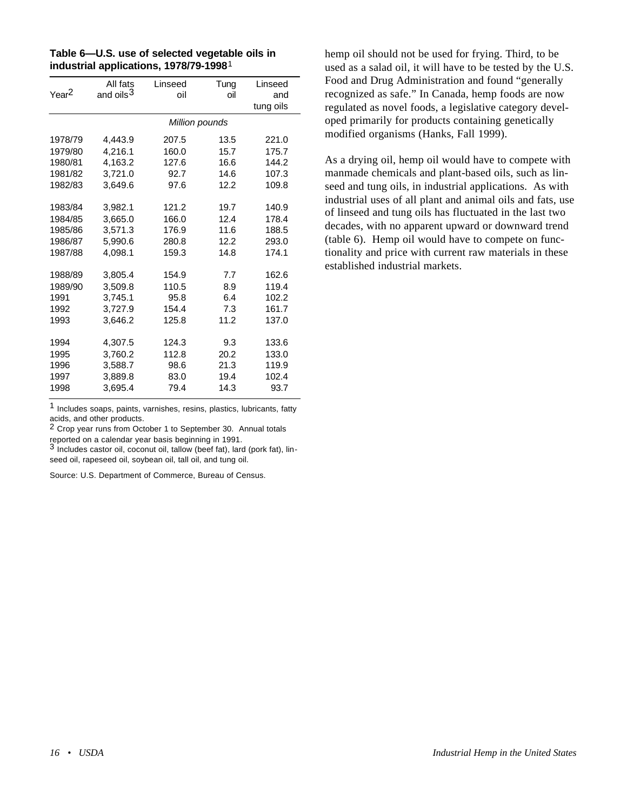| Table 6-U.S. use of selected vegetable oils in     |
|----------------------------------------------------|
| industrial applications, 1978/79-1998 <sup>1</sup> |

| Year <sup>2</sup> | All fats<br>and oils <sup>3</sup> | Linseed<br>oil | Tung<br>oil | Linseed<br>and |
|-------------------|-----------------------------------|----------------|-------------|----------------|
|                   |                                   |                |             | tung oils      |
|                   |                                   | Million pounds |             |                |
| 1978/79           | 4,443.9                           | 207.5          | 13.5        | 221.0          |
| 1979/80           | 4,216.1                           | 160.0          | 15.7        | 175.7          |
| 1980/81           | 4.163.2                           | 127.6          | 16.6        | 144.2          |
| 1981/82           | 3,721.0                           | 92.7           | 14.6        | 107.3          |
| 1982/83           | 3.649.6                           | 97.6           | 12.2        | 109.8          |
| 1983/84           | 3,982.1                           | 121.2          | 19.7        | 140.9          |
| 1984/85           | 3,665.0                           | 166.0          | 12.4        | 178.4          |
| 1985/86           | 3.571.3                           | 176.9          | 11.6        | 188.5          |
| 1986/87           | 5,990.6                           | 280.8          | 12.2        | 293.0          |
| 1987/88           | 4.098.1                           | 159.3          | 14.8        | 174.1          |
| 1988/89           | 3,805.4                           | 154.9          | 7.7         | 162.6          |
| 1989/90           | 3.509.8                           | 110.5          | 8.9         | 119.4          |
| 1991              | 3,745.1                           | 95.8           | 6.4         | 102.2          |
| 1992              | 3,727.9                           | 154.4          | 7.3         | 161.7          |
| 1993              | 3,646.2                           | 125.8          | 11.2        | 137.0          |
| 1994              | 4,307.5                           | 124.3          | 9.3         | 133.6          |
| 1995              | 3.760.2                           | 112.8          | 20.2        | 133.0          |
| 1996              | 3,588.7                           | 98.6           | 21.3        | 119.9          |
| 1997              | 3,889.8                           | 83.0           | 19.4        | 102.4          |
| 1998              | 3,695.4                           | 79.4           | 14.3        | 93.7           |

1 Includes soaps, paints, varnishes, resins, plastics, lubricants, fatty acids, and other products.

2 Crop year runs from October 1 to September 30. Annual totals reported on a calendar year basis beginning in 1991.

3 Includes castor oil, coconut oil, tallow (beef fat), lard (pork fat), linseed oil, rapeseed oil, soybean oil, tall oil, and tung oil.

Source: U.S. Department of Commerce, Bureau of Census.

hemp oil should not be used for frying. Third, to be used as a salad oil, it will have to be tested by the U.S. Food and Drug Administration and found "generally recognized as safe." In Canada, hemp foods are now regulated as novel foods, a legislative category developed primarily for products containing genetically modified organisms (Hanks, Fall 1999).

As a drying oil, hemp oil would have to compete with manmade chemicals and plant-based oils, such as linseed and tung oils, in industrial applications. As with industrial uses of all plant and animal oils and fats, use of linseed and tung oils has fluctuated in the last two decades, with no apparent upward or downward trend (table 6). Hemp oil would have to compete on functionality and price with current raw materials in these established industrial markets.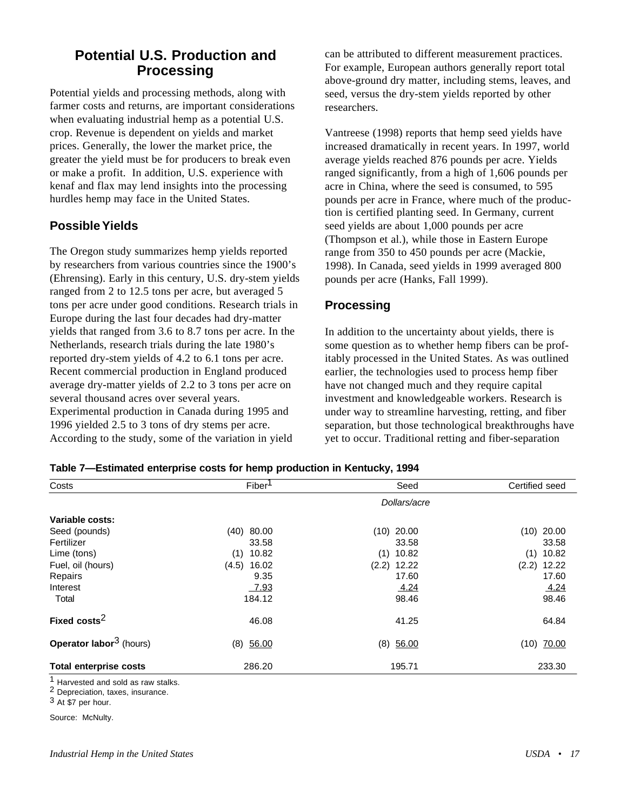# <span id="page-21-0"></span>**Potential U.S. Production and Processing**

Potential yields and processing methods, along with farmer costs and returns, are important considerations when evaluating industrial hemp as a potential U.S. crop. Revenue is dependent on yields and market prices. Generally, the lower the market price, the greater the yield must be for producers to break even or make a profit. In addition, U.S. experience with kenaf and flax may lend insights into the processing hurdles hemp may face in the United States.

#### **Possible Yields**

The Oregon study summarizes hemp yields reported by researchers from various countries since the 1900's (Ehrensing). Early in this century, U.S. dry-stem yields ranged from 2 to 12.5 tons per acre, but averaged 5 tons per acre under good conditions. Research trials in Europe during the last four decades had dry-matter yields that ranged from 3.6 to 8.7 tons per acre. In the Netherlands, research trials during the late 1980's reported dry-stem yields of 4.2 to 6.1 tons per acre. Recent commercial production in England produced average dry-matter yields of 2.2 to 3 tons per acre on several thousand acres over several years. Experimental production in Canada during 1995 and 1996 yielded 2.5 to 3 tons of dry stems per acre. According to the study, some of the variation in yield

can be attributed to different measurement practices. For example, European authors generally report total above-ground dry matter, including stems, leaves, and seed, versus the dry-stem yields reported by other researchers.

Vantreese (1998) reports that hemp seed yields have increased dramatically in recent years. In 1997, world average yields reached 876 pounds per acre. Yields ranged significantly, from a high of 1,606 pounds per acre in China, where the seed is consumed, to 595 pounds per acre in France, where much of the production is certified planting seed. In Germany, current seed yields are about 1,000 pounds per acre (Thompson et al.), while those in Eastern Europe range from 350 to 450 pounds per acre (Mackie, 1998). In Canada, seed yields in 1999 averaged 800 pounds per acre (Hanks, Fall 1999).

#### **Processing**

In addition to the uncertainty about yields, there is some question as to whether hemp fibers can be profitably processed in the United States. As was outlined earlier, the technologies used to process hemp fiber have not changed much and they require capital investment and knowledgeable workers. Research is under way to streamline harvesting, retting, and fiber separation, but those technological breakthroughs have yet to occur. Traditional retting and fiber-separation

| Table 7—Estimated enterprise costs for hemp production in Kentucky, 1994 |  |  |
|--------------------------------------------------------------------------|--|--|
|                                                                          |  |  |

| Costs                                     | Fiber <sup>1</sup> | Seed           | Certified seed |
|-------------------------------------------|--------------------|----------------|----------------|
|                                           |                    | Dollars/acre   |                |
| Variable costs:                           |                    |                |                |
| Seed (pounds)                             | (40)<br>80.00      | $(10)$ 20.00   | $(10)$ 20.00   |
| Fertilizer                                | 33.58              | 33.58          | 33.58          |
| Lime (tons)                               | 10.82<br>(1)       | 10.82<br>(1)   | 10.82<br>(1)   |
| Fuel, oil (hours)                         | 16.02<br>(4.5)     | (2.2)<br>12.22 | (2.2)<br>12.22 |
| Repairs                                   | 9.35               | 17.60          | 17.60          |
| Interest                                  | <u>7.93</u>        | 4.24           | 4.24           |
| Total                                     | 184.12             | 98.46          | 98.46          |
| Fixed costs <sup>2</sup>                  | 46.08              | 41.25          | 64.84          |
| <b>Operator labor<sup>3</sup></b> (hours) | 56.00<br>(8)       | (8)<br>56.00   | $(10)$ 70.00   |
| <b>Total enterprise costs</b>             | 286.20             | 195.71         | 233.30         |

<sup>1</sup> Harvested and sold as raw stalks.

2 Depreciation, taxes, insurance.

Source: McNulty.

<sup>3</sup> At \$7 per hour.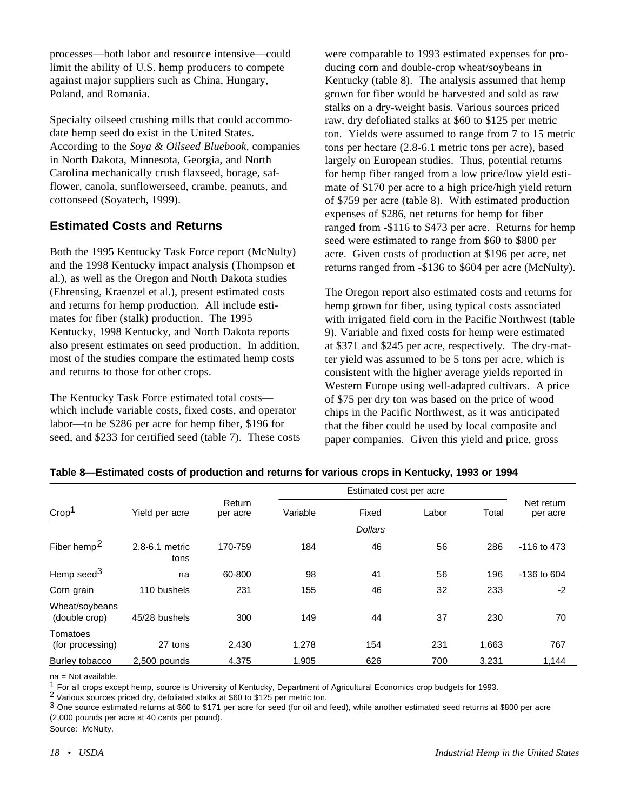processes—both labor and resource intensive—could limit the ability of U.S. hemp producers to compete against major suppliers such as China, Hungary, Poland, and Romania.

Specialty oilseed crushing mills that could accommodate hemp seed do exist in the United States. According to the *Soya & Oilseed Bluebook*, companies in North Dakota, Minnesota, Georgia, and North Carolina mechanically crush flaxseed, borage, safflower, canola, sunflowerseed, crambe, peanuts, and cottonseed (Soyatech, 1999).

#### **Estimated Costs and Returns**

Both the 1995 Kentucky Task Force report (McNulty) and the 1998 Kentucky impact analysis (Thompson et al.), as well as the Oregon and North Dakota studies (Ehrensing, Kraenzel et al.), present estimated costs and returns for hemp production. All include estimates for fiber (stalk) production. The 1995 Kentucky, 1998 Kentucky, and North Dakota reports also present estimates on seed production. In addition, most of the studies compare the estimated hemp costs and returns to those for other crops.

The Kentucky Task Force estimated total costs which include variable costs, fixed costs, and operator labor—to be \$286 per acre for hemp fiber, \$196 for seed, and \$233 for certified seed (table 7). These costs

were comparable to 1993 estimated expenses for producing corn and double-crop wheat/soybeans in Kentucky (table 8). The analysis assumed that hemp grown for fiber would be harvested and sold as raw stalks on a dry-weight basis. Various sources priced raw, dry defoliated stalks at \$60 to \$125 per metric ton. Yields were assumed to range from 7 to 15 metric tons per hectare (2.8-6.1 metric tons per acre), based largely on European studies. Thus, potential returns for hemp fiber ranged from a low price/low yield estimate of \$170 per acre to a high price/high yield return of \$759 per acre (table 8). With estimated production expenses of \$286, net returns for hemp for fiber ranged from -\$116 to \$473 per acre. Returns for hemp seed were estimated to range from \$60 to \$800 per acre. Given costs of production at \$196 per acre, net returns ranged from -\$136 to \$604 per acre (McNulty).

The Oregon report also estimated costs and returns for hemp grown for fiber, using typical costs associated with irrigated field corn in the Pacific Northwest (table 9). Variable and fixed costs for hemp were estimated at \$371 and \$245 per acre, respectively. The dry-matter yield was assumed to be 5 tons per acre, which is consistent with the higher average yields reported in Western Europe using well-adapted cultivars. A price of \$75 per dry ton was based on the price of wood chips in the Pacific Northwest, as it was anticipated that the fiber could be used by local composite and paper companies. Given this yield and price, gross

|                                 |                        |                    |          | Estimated cost per acre |       |       |                        |  |
|---------------------------------|------------------------|--------------------|----------|-------------------------|-------|-------|------------------------|--|
| Crop <sup>1</sup>               | Yield per acre         | Return<br>per acre | Variable | Fixed                   | Labor | Total | Net return<br>per acre |  |
|                                 |                        |                    |          | <b>Dollars</b>          |       |       |                        |  |
| Fiber hemp <sup>2</sup>         | 2.8-6.1 metric<br>tons | 170-759            | 184      | 46                      | 56    | 286   | -116 to 473            |  |
| Hemp seed <sup>3</sup>          | na                     | 60-800             | 98       | 41                      | 56    | 196   | $-136$ to 604          |  |
| Corn grain                      | 110 bushels            | 231                | 155      | 46                      | 32    | 233   | $-2$                   |  |
| Wheat/soybeans<br>(double crop) | 45/28 bushels          | 300                | 149      | 44                      | 37    | 230   | 70                     |  |
| Tomatoes<br>(for processing)    | 27 tons                | 2,430              | 1,278    | 154                     | 231   | 1,663 | 767                    |  |
| Burley tobacco                  | 2,500 pounds           | 4,375              | 1,905    | 626                     | 700   | 3,231 | 1,144                  |  |

#### **Table 8—Estimated costs of production and returns for various crops in Kentucky, 1993 or 1994**

 $na = Not available$ .

 $1$  For all crops except hemp, source is University of Kentucky, Department of Agricultural Economics crop budgets for 1993.

2 Various sources priced dry, defoliated stalks at \$60 to \$125 per metric ton.

 $3$  One source estimated returns at \$60 to \$171 per acre for seed (for oil and feed), while another estimated seed returns at \$800 per acre (2,000 pounds per acre at 40 cents per pound).

Source: McNulty.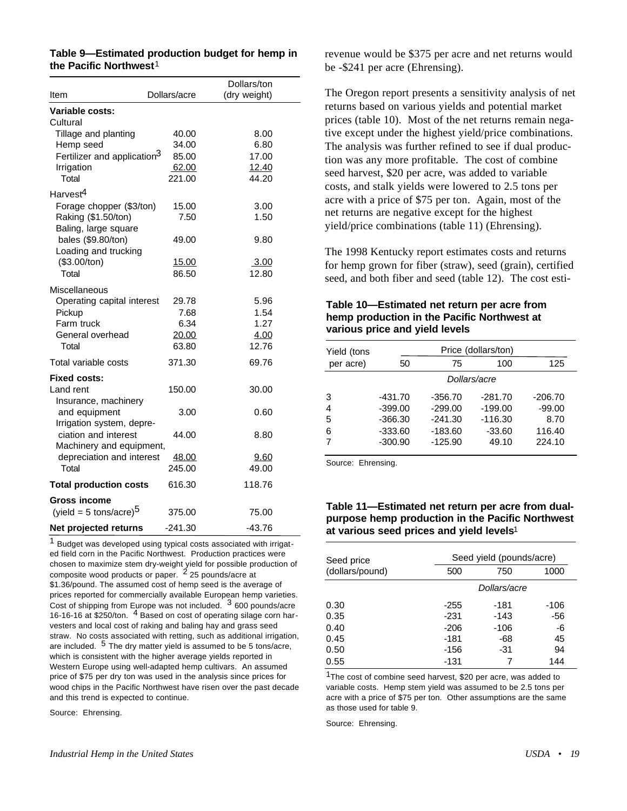|                                         |              | Dollars/ton  |  |
|-----------------------------------------|--------------|--------------|--|
| Item                                    | Dollars/acre | (dry weight) |  |
| <b>Variable costs:</b>                  |              |              |  |
| Cultural                                |              |              |  |
| Tillage and planting                    | 40.00        | 8.00         |  |
| Hemp seed                               | 34.00        | 6.80         |  |
| Fertilizer and application <sup>3</sup> | 85.00        | 17.00        |  |
| Irrigation                              | 62.00        | 12.40        |  |
| Total                                   | 221.00       | 44.20        |  |
| Harvest <sup>4</sup>                    |              |              |  |
| Forage chopper (\$3/ton)                | 15.00        | 3.00         |  |
| Raking (\$1.50/ton)                     | 7.50         | 1.50         |  |
| Baling, large square                    |              |              |  |
| bales (\$9.80/ton)                      | 49.00        | 9.80         |  |
| Loading and trucking                    |              |              |  |
| (\$3.00/ton)                            | 15.00        | 3.00         |  |
| Total                                   | 86.50        | 12.80        |  |
| Miscellaneous                           |              |              |  |
| Operating capital interest              | 29.78        | 5.96         |  |
| Pickup                                  | 7.68         | 1.54         |  |
| Farm truck                              | 6.34         | 1.27         |  |
| General overhead                        | 20.00        | 4.00         |  |
| Total                                   | 63.80        | 12.76        |  |
| Total variable costs                    | 371.30       | 69.76        |  |
| <b>Fixed costs:</b>                     |              |              |  |
| Land rent                               | 150.00       | 30.00        |  |
| Insurance, machinery                    |              |              |  |
| and equipment                           | 3.00         | 0.60         |  |
| Irrigation system, depre-               |              |              |  |
| ciation and interest                    | 44.00        | 8.80         |  |
| Machinery and equipment,                |              |              |  |
| depreciation and interest               | <u>48.00</u> | 9.60         |  |
| Total                                   | 245.00       | 49.00        |  |
| <b>Total production costs</b>           | 616.30       | 118.76       |  |
| <b>Gross income</b>                     |              |              |  |
| (yield = 5 tons/acre) $5$               | 375.00       | 75.00        |  |
|                                         |              |              |  |
| Net projected returns                   | $-241.30$    | -43.76       |  |

**Table 9—Estimated production budget for hemp in**

**the Pacific Northwest**1

<sup>1</sup> Budget was developed using typical costs associated with irrigated field corn in the Pacific Northwest. Production practices were chosen to maximize stem dry-weight yield for possible production of composite wood products or paper.  $\frac{2}{2}$  25 pounds/acre at \$1.36/pound. The assumed cost of hemp seed is the average of prices reported for commercially available European hemp varieties. Cost of shipping from Europe was not included. 3 600 pounds/acre 16-16-16 at \$250/ton. 4 Based on cost of operating silage corn harvesters and local cost of raking and baling hay and grass seed straw. No costs associated with retting, such as additional irrigation, are included. <sup>5</sup> The dry matter yield is assumed to be 5 tons/acre, which is consistent with the higher average yields reported in Western Europe using well-adapted hemp cultivars. An assumed price of \$75 per dry ton was used in the analysis since prices for wood chips in the Pacific Northwest have risen over the past decade and this trend is expected to continue.

Source: Ehrensing.

revenue would be \$375 per acre and net returns would be -\$241 per acre (Ehrensing).

The Oregon report presents a sensitivity analysis of net returns based on various yields and potential market prices (table 10). Most of the net returns remain negative except under the highest yield/price combinations. The analysis was further refined to see if dual production was any more profitable. The cost of combine seed harvest, \$20 per acre, was added to variable costs, and stalk yields were lowered to 2.5 tons per acre with a price of \$75 per ton. Again, most of the net returns are negative except for the highest yield/price combinations (table 11) (Ehrensing).

The 1998 Kentucky report estimates costs and returns for hemp grown for fiber (straw), seed (grain), certified seed, and both fiber and seed (table 12). The cost esti-

#### **Table 10—Estimated net return per acre from hemp production in the Pacific Northwest at various price and yield levels**

| Yield (tons |           |           | Price (dollars/ton) |           |
|-------------|-----------|-----------|---------------------|-----------|
| per acre)   | 50        | 75        | 100                 | 125       |
|             |           |           | Dollars/acre        |           |
| 3           | $-431.70$ | $-356.70$ | $-281.70$           | $-206.70$ |
| 4           | $-399.00$ | $-299.00$ | $-199.00$           | $-99.00$  |
| 5           | $-366.30$ | $-241.30$ | $-116.30$           | 8.70      |
| 6           | $-333.60$ | $-183.60$ | $-33.60$            | 116.40    |
|             | $-300.90$ | $-125.90$ | 49.10               | 224.10    |

Source: Ehrensing.

#### **Table 11—Estimated net return per acre from dualpurpose hemp production in the Pacific Northwest at various seed prices and yield levels**1

| Seed price      |        | Seed yield (pounds/acre) |        |  |  |
|-----------------|--------|--------------------------|--------|--|--|
| (dollars/pound) | 500    | 750                      | 1000   |  |  |
|                 |        | Dollars/acre             |        |  |  |
| 0.30            | $-255$ | $-181$                   | $-106$ |  |  |
| 0.35            | $-231$ | $-143$                   | -56    |  |  |
| 0.40            | $-206$ | $-106$                   | -6     |  |  |
| 0.45            | -181   | -68                      | 45     |  |  |
| 0.50            | -156   | -31                      | 94     |  |  |
| 0.55            | $-131$ |                          | 144    |  |  |
| $\overline{ }$  |        |                          |        |  |  |

<sup>1</sup>The cost of combine seed harvest, \$20 per acre, was added to variable costs. Hemp stem yield was assumed to be 2.5 tons per acre with a price of \$75 per ton. Other assumptions are the same as those used for table 9.

Source: Ehrensing.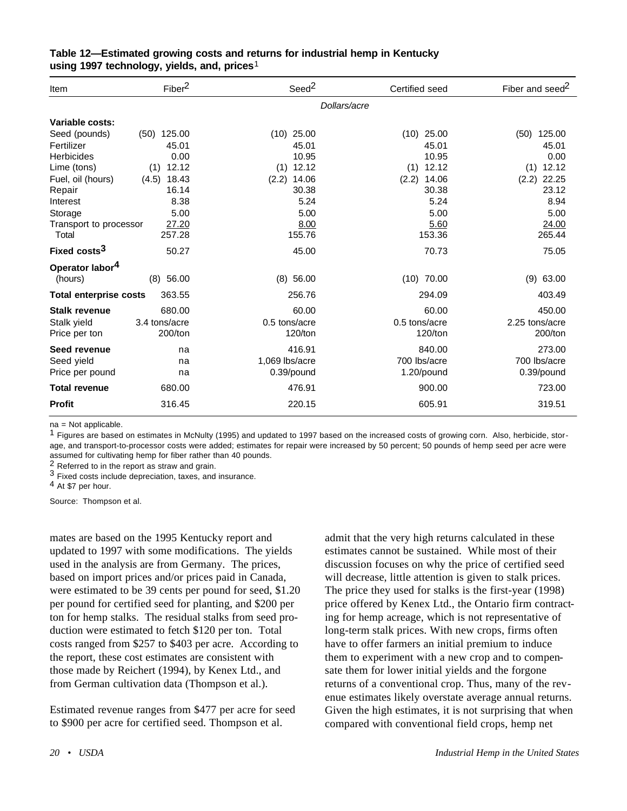| Item                          | Fiber <sup>2</sup> | Seed <sup>2</sup> | Certified seed | Fiber and seed <sup>2</sup> |
|-------------------------------|--------------------|-------------------|----------------|-----------------------------|
|                               |                    | Dollars/acre      |                |                             |
| Variable costs:               |                    |                   |                |                             |
| Seed (pounds)                 | 125.00<br>(50)     | 25.00<br>(10)     | 25.00<br>(10)  | 125.00<br>(50)              |
| Fertilizer                    | 45.01              | 45.01             | 45.01          | 45.01                       |
| <b>Herbicides</b>             | 0.00               | 10.95             | 10.95          | 0.00                        |
| Lime (tons)                   | 12.12<br>(1)       | 12.12<br>(1)      | 12.12<br>(1)   | 12.12<br>(1)                |
| Fuel, oil (hours)             | 18.43<br>(4.5)     | 14.06<br>(2.2)    | (2.2)<br>14.06 | 22.25<br>(2.2)              |
| Repair                        | 16.14              | 30.38             | 30.38          | 23.12                       |
| Interest                      | 8.38               | 5.24              | 5.24           | 8.94                        |
| Storage                       | 5.00               | 5.00              | 5.00           | 5.00                        |
| Transport to processor        | 27.20              | 8.00              | 5.60           | 24.00                       |
| Total                         | 257.28             | 155.76            | 153.36         | 265.44                      |
| Fixed costs <sup>3</sup>      | 50.27              | 45.00             | 70.73          | 75.05                       |
| Operator labor <sup>4</sup>   |                    |                   |                |                             |
| (hours)                       | $(8)$ 56.00        | $(8)$ 56.00       | $(10)$ 70.00   | (9)<br>63.00                |
| <b>Total enterprise costs</b> | 363.55             | 256.76            | 294.09         | 403.49                      |
| <b>Stalk revenue</b>          | 680.00             | 60.00             | 60.00          | 450.00                      |
| Stalk yield                   | 3.4 tons/acre      | 0.5 tons/acre     | 0.5 tons/acre  | 2.25 tons/acre              |
| Price per ton                 | 200/ton            | 120/ton           | 120/ton        | 200/ton                     |
| Seed revenue                  | na                 | 416.91            | 840.00         | 273.00                      |
| Seed yield                    | na                 | 1,069 lbs/acre    | 700 lbs/acre   | 700 lbs/acre                |
| Price per pound               | na                 | 0.39/pound        | 1.20/pound     | 0.39/pound                  |
| <b>Total revenue</b>          | 680.00             | 476.91            | 900.00         | 723.00                      |
| <b>Profit</b>                 | 316.45             | 220.15            | 605.91         | 319.51                      |

#### **Table 12—Estimated growing costs and returns for industrial hemp in Kentucky using 1997 technology, yields, and, prices**1

na = Not applicable.

 $1$  Figures are based on estimates in McNulty (1995) and updated to 1997 based on the increased costs of growing corn. Also, herbicide, storage, and transport-to-processor costs were added; estimates for repair were increased by 50 percent; 50 pounds of hemp seed per acre were assumed for cultivating hemp for fiber rather than 40 pounds.

2 Referred to in the report as straw and grain.

3 Fixed costs include depreciation, taxes, and insurance.

4 At \$7 per hour.

Source: Thompson et al.

mates are based on the 1995 Kentucky report and updated to 1997 with some modifications. The yields used in the analysis are from Germany. The prices, based on import prices and/or prices paid in Canada, were estimated to be 39 cents per pound for seed, \$1.20 per pound for certified seed for planting, and \$200 per ton for hemp stalks. The residual stalks from seed production were estimated to fetch \$120 per ton. Total costs ranged from \$257 to \$403 per acre. According to the report, these cost estimates are consistent with those made by Reichert (1994), by Kenex Ltd., and from German cultivation data (Thompson et al.).

Estimated revenue ranges from \$477 per acre for seed to \$900 per acre for certified seed. Thompson et al.

admit that the very high returns calculated in these estimates cannot be sustained. While most of their discussion focuses on why the price of certified seed will decrease, little attention is given to stalk prices. The price they used for stalks is the first-year (1998) price offered by Kenex Ltd., the Ontario firm contracting for hemp acreage, which is not representative of long-term stalk prices. With new crops, firms often have to offer farmers an initial premium to induce them to experiment with a new crop and to compensate them for lower initial yields and the forgone returns of a conventional crop. Thus, many of the revenue estimates likely overstate average annual returns. Given the high estimates, it is not surprising that when compared with conventional field crops, hemp net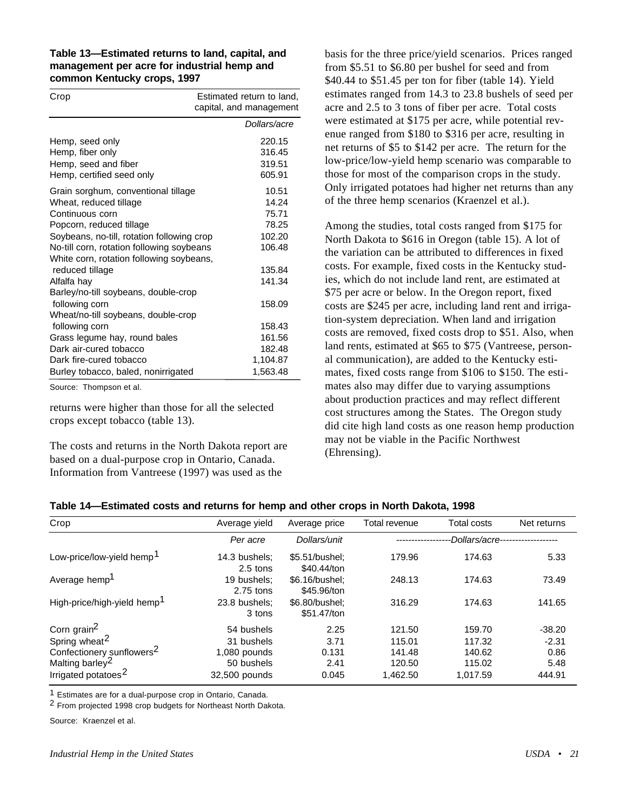#### **Table 13—Estimated returns to land, capital, and management per acre for industrial hemp and common Kentucky crops, 1997**

| Crop                                       | Estimated return to land,<br>capital, and management |  |
|--------------------------------------------|------------------------------------------------------|--|
|                                            | Dollars/acre                                         |  |
| Hemp, seed only                            | 220.15                                               |  |
| Hemp, fiber only                           | 316.45                                               |  |
| Hemp, seed and fiber                       | 319.51                                               |  |
| Hemp, certified seed only                  | 605.91                                               |  |
| Grain sorghum, conventional tillage        | 10.51                                                |  |
| Wheat, reduced tillage                     | 14.24                                                |  |
| Continuous corn                            | 75.71                                                |  |
| Popcorn, reduced tillage                   | 78.25                                                |  |
| Soybeans, no-till, rotation following crop | 102.20                                               |  |
| No-till corn, rotation following soybeans  | 106.48                                               |  |
| White corn, rotation following soybeans,   |                                                      |  |
| reduced tillage                            | 135.84                                               |  |
| Alfalfa hay                                | 141.34                                               |  |
| Barley/no-till soybeans, double-crop       |                                                      |  |
| following corn                             | 158.09                                               |  |
| Wheat/no-till soybeans, double-crop        |                                                      |  |
| following corn                             | 158.43                                               |  |
| Grass legume hay, round bales              | 161.56                                               |  |
| Dark air-cured tobacco                     | 182.48                                               |  |
| Dark fire-cured tobacco                    | 1,104.87                                             |  |
| Burley tobacco, baled, nonirrigated        | 1,563.48                                             |  |

Source: Thompson et al.

returns were higher than those for all the selected crops except tobacco (table 13).

The costs and returns in the North Dakota report are based on a dual-purpose crop in Ontario, Canada. Information from Vantreese (1997) was used as the

basis for the three price/yield scenarios. Prices ranged from \$5.51 to \$6.80 per bushel for seed and from \$40.44 to \$51.45 per ton for fiber (table 14). Yield estimates ranged from 14.3 to 23.8 bushels of seed per acre and 2.5 to 3 tons of fiber per acre. Total costs were estimated at \$175 per acre, while potential revenue ranged from \$180 to \$316 per acre, resulting in net returns of \$5 to \$142 per acre. The return for the low-price/low-yield hemp scenario was comparable to those for most of the comparison crops in the study. Only irrigated potatoes had higher net returns than any of the three hemp scenarios (Kraenzel et al.).

Among the studies, total costs ranged from \$175 for North Dakota to \$616 in Oregon (table 15). A lot of the variation can be attributed to differences in fixed costs. For example, fixed costs in the Kentucky studies, which do not include land rent, are estimated at \$75 per acre or below. In the Oregon report, fixed costs are \$245 per acre, including land rent and irrigation-system depreciation. When land and irrigation costs are removed, fixed costs drop to \$51. Also, when land rents, estimated at \$65 to \$75 (Vantreese, personal communication), are added to the Kentucky estimates, fixed costs range from \$106 to \$150. The estimates also may differ due to varying assumptions about production practices and may reflect different cost structures among the States. The Oregon study did cite high land costs as one reason hemp production may not be viable in the Pacific Northwest (Ehrensing).

#### **Table 14—Estimated costs and returns for hemp and other crops in North Dakota, 1998**

| Crop                                    | Average yield               | Average price                 | Total revenue | Total costs    | Net returns |
|-----------------------------------------|-----------------------------|-------------------------------|---------------|----------------|-------------|
|                                         | Per acre                    | Dollars/unit                  |               | -Dollars/acre- |             |
| Low-price/low-yield hemp <sup>1</sup>   | 14.3 bushels;<br>$2.5$ tons | \$5.51/bushel:<br>\$40.44/ton | 179.96        | 174.63         | 5.33        |
| Average hemp <sup>1</sup>               | 19 bushels:<br>$2.75$ tons  | \$6.16/bushel:<br>\$45.96/ton | 248.13        | 174.63         | 73.49       |
| High-price/high-yield hemp <sup>1</sup> | 23.8 bushels:<br>3 tons     | \$6.80/bushel:<br>\$51,47/ton | 316.29        | 174.63         | 141.65      |
| Corn grain <sup>2</sup>                 | 54 bushels                  | 2.25                          | 121.50        | 159.70         | $-38.20$    |
| Spring wheat <sup>2</sup>               | 31 bushels                  | 3.71                          | 115.01        | 117.32         | $-2.31$     |
| Confectionery sunflowers <sup>2</sup>   | 1,080 pounds                | 0.131                         | 141.48        | 140.62         | 0.86        |
| Malting barley <sup>2</sup>             | 50 bushels                  | 2.41                          | 120.50        | 115.02         | 5.48        |
| Irrigated potatoes <sup>2</sup>         | 32,500 pounds               | 0.045                         | 1,462.50      | 1.017.59       | 444.91      |

1 Estimates are for a dual-purpose crop in Ontario, Canada.

2 From projected 1998 crop budgets for Northeast North Dakota.

Source: Kraenzel et al.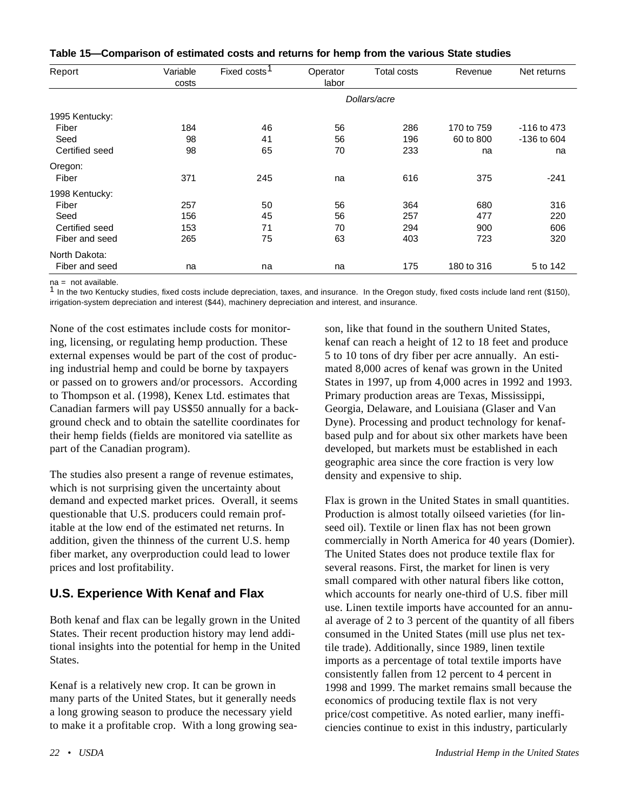| Table 15—Comparison of estimated costs and returns for hemp from the various State studies |  |  |  |
|--------------------------------------------------------------------------------------------|--|--|--|
|--------------------------------------------------------------------------------------------|--|--|--|

| Report         | Variable<br>costs | Fixed costs <sup>1</sup> | Operator<br>labor | Total costs  | Revenue    | Net returns |
|----------------|-------------------|--------------------------|-------------------|--------------|------------|-------------|
|                |                   |                          |                   | Dollars/acre |            |             |
| 1995 Kentucky: |                   |                          |                   |              |            |             |
| Fiber          | 184               | 46                       | 56                | 286          | 170 to 759 | -116 to 473 |
| Seed           | 98                | 41                       | 56                | 196          | 60 to 800  | -136 to 604 |
| Certified seed | 98                | 65                       | 70                | 233          | na         | na          |
| Oregon:        |                   |                          |                   |              |            |             |
| Fiber          | 371               | 245                      | na                | 616          | 375        | $-241$      |
| 1998 Kentucky: |                   |                          |                   |              |            |             |
| Fiber          | 257               | 50                       | 56                | 364          | 680        | 316         |
| Seed           | 156               | 45                       | 56                | 257          | 477        | 220         |
| Certified seed | 153               | 71                       | 70                | 294          | 900        | 606         |
| Fiber and seed | 265               | 75                       | 63                | 403          | 723        | 320         |
| North Dakota:  |                   |                          |                   |              |            |             |
| Fiber and seed | na                | na                       | na                | 175          | 180 to 316 | 5 to 142    |

 $na = not available$ .

 $1$  In the two Kentucky studies, fixed costs include depreciation, taxes, and insurance. In the Oregon study, fixed costs include land rent (\$150), irrigation-system depreciation and interest (\$44), machinery depreciation and interest, and insurance.

None of the cost estimates include costs for monitoring, licensing, or regulating hemp production. These external expenses would be part of the cost of producing industrial hemp and could be borne by taxpayers or passed on to growers and/or processors. According to Thompson et al. (1998), Kenex Ltd. estimates that Canadian farmers will pay US\$50 annually for a background check and to obtain the satellite coordinates for their hemp fields (fields are monitored via satellite as part of the Canadian program).

The studies also present a range of revenue estimates, which is not surprising given the uncertainty about demand and expected market prices. Overall, it seems questionable that U.S. producers could remain profitable at the low end of the estimated net returns. In addition, given the thinness of the current U.S. hemp fiber market, any overproduction could lead to lower prices and lost profitability.

# **U.S. Experience With Kenaf and Flax**

Both kenaf and flax can be legally grown in the United States. Their recent production history may lend additional insights into the potential for hemp in the United States.

Kenaf is a relatively new crop. It can be grown in many parts of the United States, but it generally needs a long growing season to produce the necessary yield to make it a profitable crop. With a long growing sea-

kenaf can reach a height of 12 to 18 feet and produce 5 to 10 tons of dry fiber per acre annually. An estimated 8,000 acres of kenaf was grown in the United States in 1997, up from 4,000 acres in 1992 and 1993. Primary production areas are Texas, Mississippi, Georgia, Delaware, and Louisiana (Glaser and Van Dyne). Processing and product technology for kenafbased pulp and for about six other markets have been developed, but markets must be established in each geographic area since the core fraction is very low density and expensive to ship.

son, like that found in the southern United States,

Flax is grown in the United States in small quantities. Production is almost totally oilseed varieties (for linseed oil). Textile or linen flax has not been grown commercially in North America for 40 years (Domier). The United States does not produce textile flax for several reasons. First, the market for linen is very small compared with other natural fibers like cotton, which accounts for nearly one-third of U.S. fiber mill use. Linen textile imports have accounted for an annual average of 2 to 3 percent of the quantity of all fibers consumed in the United States (mill use plus net textile trade). Additionally, since 1989, linen textile imports as a percentage of total textile imports have consistently fallen from 12 percent to 4 percent in 1998 and 1999. The market remains small because the economics of producing textile flax is not very price/cost competitive. As noted earlier, many inefficiencies continue to exist in this industry, particularly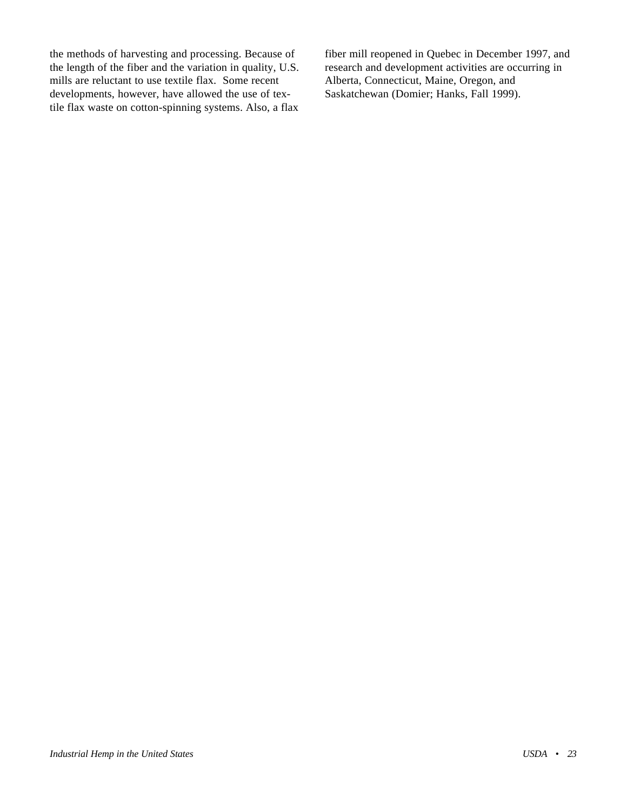the methods of harvesting and processing. Because of the length of the fiber and the variation in quality, U.S. mills are reluctant to use textile flax. Some recent developments, however, have allowed the use of textile flax waste on cotton-spinning systems. Also, a flax fiber mill reopened in Quebec in December 1997, and research and development activities are occurring in Alberta, Connecticut, Maine, Oregon, and Saskatchewan (Domier; Hanks, Fall 1999).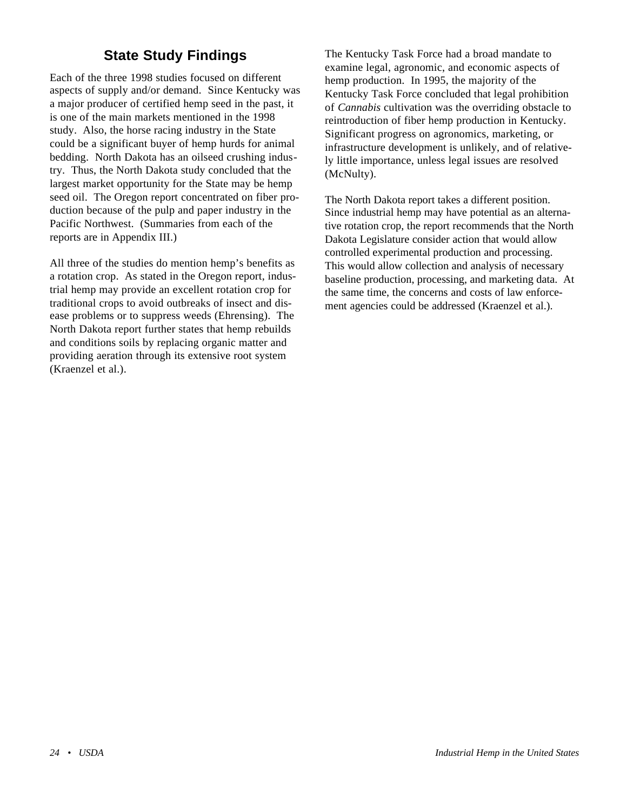# **State Study Findings**

<span id="page-28-0"></span>Each of the three 1998 studies focused on different aspects of supply and/or demand. Since Kentucky was a major producer of certified hemp seed in the past, it is one of the main markets mentioned in the 1998 study. Also, the horse racing industry in the State could be a significant buyer of hemp hurds for animal bedding. North Dakota has an oilseed crushing industry. Thus, the North Dakota study concluded that the largest market opportunity for the State may be hemp seed oil. The Oregon report concentrated on fiber production because of the pulp and paper industry in the Pacific Northwest. (Summaries from each of the reports are in Appendix III.)

All three of the studies do mention hemp's benefits as a rotation crop. As stated in the Oregon report, industrial hemp may provide an excellent rotation crop for traditional crops to avoid outbreaks of insect and disease problems or to suppress weeds (Ehrensing). The North Dakota report further states that hemp rebuilds and conditions soils by replacing organic matter and providing aeration through its extensive root system (Kraenzel et al.).

The Kentucky Task Force had a broad mandate to examine legal, agronomic, and economic aspects of hemp production. In 1995, the majority of the Kentucky Task Force concluded that legal prohibition of *Cannabis* cultivation was the overriding obstacle to reintroduction of fiber hemp production in Kentucky. Significant progress on agronomics, marketing, or infrastructure development is unlikely, and of relatively little importance, unless legal issues are resolved (McNulty).

The North Dakota report takes a different position. Since industrial hemp may have potential as an alternative rotation crop, the report recommends that the North Dakota Legislature consider action that would allow controlled experimental production and processing. This would allow collection and analysis of necessary baseline production, processing, and marketing data. At the same time, the concerns and costs of law enforcement agencies could be addressed (Kraenzel et al.).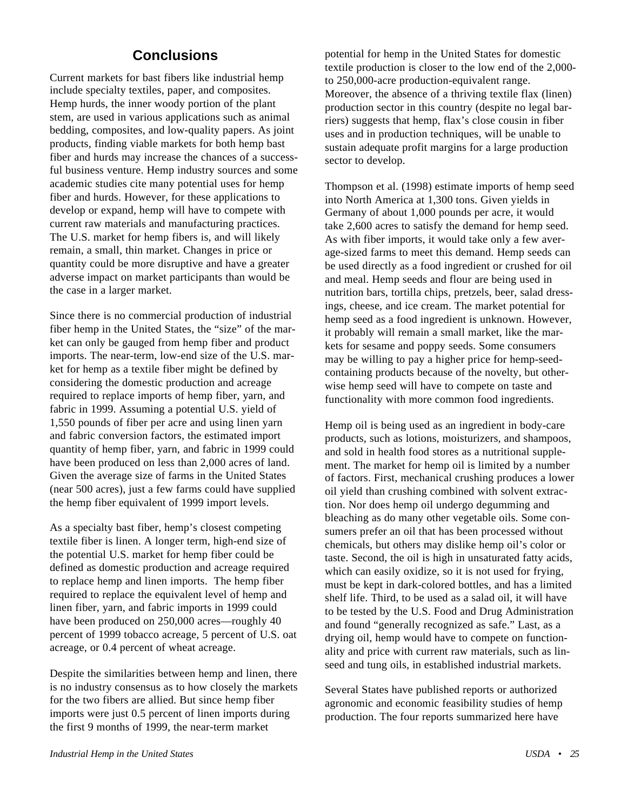# **Conclusions**

<span id="page-29-0"></span>Current markets for bast fibers like industrial hemp include specialty textiles, paper, and composites. Hemp hurds, the inner woody portion of the plant stem, are used in various applications such as animal bedding, composites, and low-quality papers. As joint products, finding viable markets for both hemp bast fiber and hurds may increase the chances of a successful business venture. Hemp industry sources and some academic studies cite many potential uses for hemp fiber and hurds. However, for these applications to develop or expand, hemp will have to compete with current raw materials and manufacturing practices. The U.S. market for hemp fibers is, and will likely remain, a small, thin market. Changes in price or quantity could be more disruptive and have a greater adverse impact on market participants than would be the case in a larger market.

Since there is no commercial production of industrial fiber hemp in the United States, the "size" of the market can only be gauged from hemp fiber and product imports. The near-term, low-end size of the U.S. market for hemp as a textile fiber might be defined by considering the domestic production and acreage required to replace imports of hemp fiber, yarn, and fabric in 1999. Assuming a potential U.S. yield of 1,550 pounds of fiber per acre and using linen yarn and fabric conversion factors, the estimated import quantity of hemp fiber, yarn, and fabric in 1999 could have been produced on less than 2,000 acres of land. Given the average size of farms in the United States (near 500 acres), just a few farms could have supplied the hemp fiber equivalent of 1999 import levels.

As a specialty bast fiber, hemp's closest competing textile fiber is linen. A longer term, high-end size of the potential U.S. market for hemp fiber could be defined as domestic production and acreage required to replace hemp and linen imports. The hemp fiber required to replace the equivalent level of hemp and linen fiber, yarn, and fabric imports in 1999 could have been produced on 250,000 acres—roughly 40 percent of 1999 tobacco acreage, 5 percent of U.S. oat acreage, or 0.4 percent of wheat acreage.

Despite the similarities between hemp and linen, there is no industry consensus as to how closely the markets for the two fibers are allied. But since hemp fiber imports were just 0.5 percent of linen imports during the first 9 months of 1999, the near-term market

potential for hemp in the United States for domestic textile production is closer to the low end of the 2,000 to 250,000-acre production-equivalent range. Moreover, the absence of a thriving textile flax (linen) production sector in this country (despite no legal barriers) suggests that hemp, flax's close cousin in fiber uses and in production techniques, will be unable to sustain adequate profit margins for a large production sector to develop.

Thompson et al. (1998) estimate imports of hemp seed into North America at 1,300 tons. Given yields in Germany of about 1,000 pounds per acre, it would take 2,600 acres to satisfy the demand for hemp seed. As with fiber imports, it would take only a few average-sized farms to meet this demand. Hemp seeds can be used directly as a food ingredient or crushed for oil and meal. Hemp seeds and flour are being used in nutrition bars, tortilla chips, pretzels, beer, salad dressings, cheese, and ice cream. The market potential for hemp seed as a food ingredient is unknown. However, it probably will remain a small market, like the markets for sesame and poppy seeds. Some consumers may be willing to pay a higher price for hemp-seedcontaining products because of the novelty, but otherwise hemp seed will have to compete on taste and functionality with more common food ingredients.

Hemp oil is being used as an ingredient in body-care products, such as lotions, moisturizers, and shampoos, and sold in health food stores as a nutritional supplement. The market for hemp oil is limited by a number of factors. First, mechanical crushing produces a lower oil yield than crushing combined with solvent extraction. Nor does hemp oil undergo degumming and bleaching as do many other vegetable oils. Some consumers prefer an oil that has been processed without chemicals, but others may dislike hemp oil's color or taste. Second, the oil is high in unsaturated fatty acids, which can easily oxidize, so it is not used for frying, must be kept in dark-colored bottles, and has a limited shelf life. Third, to be used as a salad oil, it will have to be tested by the U.S. Food and Drug Administration and found "generally recognized as safe." Last, as a drying oil, hemp would have to compete on functionality and price with current raw materials, such as linseed and tung oils, in established industrial markets.

Several States have published reports or authorized agronomic and economic feasibility studies of hemp production. The four reports summarized here have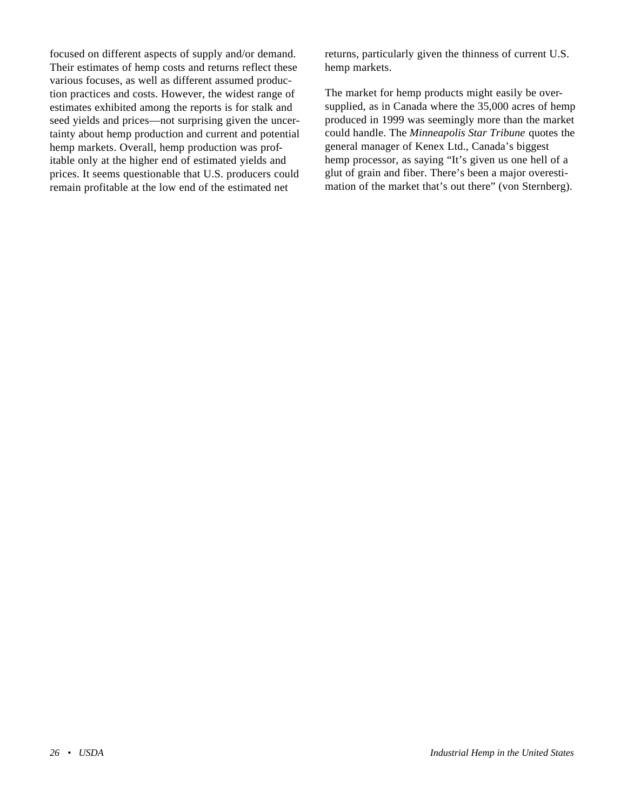focused on different aspects of supply and/or demand. Their estimates of hemp costs and returns reflect these various focuses, as well as different assumed production practices and costs. However, the widest range of estimates exhibited among the reports is for stalk and seed yields and prices—not surprising given the uncertainty about hemp production and current and potential hemp markets. Overall, hemp production was profitable only at the higher end of estimated yields and prices. It seems questionable that U.S. producers could remain profitable at the low end of the estimated net

returns, particularly given the thinness of current U.S. hemp markets.

The market for hemp products might easily be oversupplied, as in Canada where the 35,000 acres of hemp produced in 1999 was seemingly more than the market could handle. The *Minneapolis Star Tribune* quotes the general manager of Kenex Ltd., Canada's biggest hemp processor, as saying "It's given us one hell of a glut of grain and fiber. There's been a major overestimation of the market that's out there" (von Sternberg).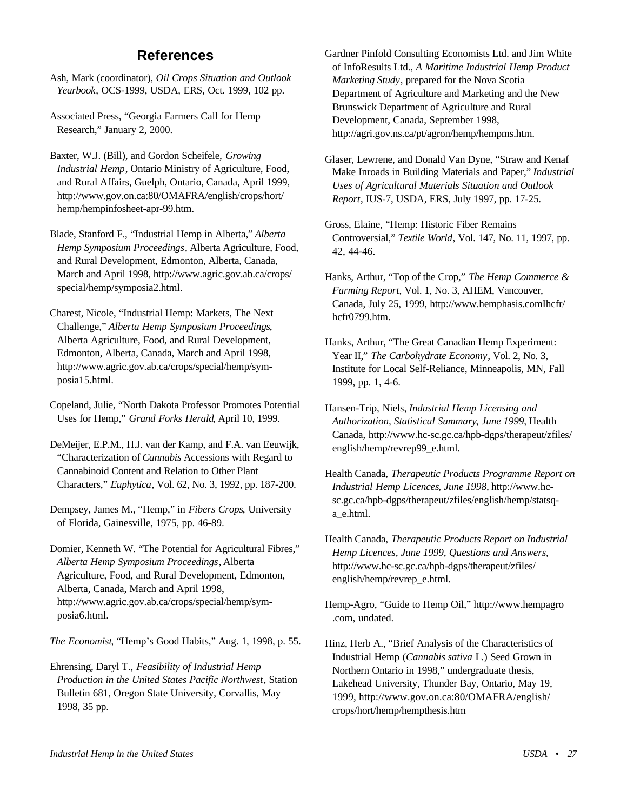# **References**

<span id="page-31-0"></span>Ash, Mark (coordinator), *Oil Crops Situation and Outlook Yearbook*, OCS-1999, USDA, ERS, Oct. 1999, 102 pp.

Associated Press, "Georgia Farmers Call for Hemp Research," January 2, 2000.

Baxter, W.J. (Bill), and Gordon Scheifele, *Growing Industrial Hemp*, Ontario Ministry of Agriculture, Food, and Rural Affairs, Guelph, Ontario, Canada, April 1999, http://www.gov.on.ca:80/OMAFRA/english/crops/hort/ hemp/hempinfosheet-apr-99.htm.

Blade, Stanford F., "Industrial Hemp in Alberta," *Alberta Hemp Symposium Proceedings*, Alberta Agriculture, Food, and Rural Development, Edmonton, Alberta, Canada, March and April 1998, http://www.agric.gov.ab.ca/crops/ special/hemp/symposia2.html.

Charest, Nicole, "Industrial Hemp: Markets, The Next Challenge," *Alberta Hemp Symposium Proceedings*, Alberta Agriculture, Food, and Rural Development, Edmonton, Alberta, Canada, March and April 1998, http://www.agric.gov.ab.ca/crops/special/hemp/symposia15.html.

Copeland, Julie, "North Dakota Professor Promotes Potential Uses for Hemp," *Grand Forks Herald*, April 10, 1999.

DeMeijer, E.P.M., H.J. van der Kamp, and F.A. van Eeuwijk, "Characterization of *Cannabis* Accessions with Regard to Cannabinoid Content and Relation to Other Plant Characters," *Euphytica*, Vol. 62, No. 3, 1992, pp. 187-200.

Dempsey, James M., "Hemp," in *Fibers Crops*, University of Florida, Gainesville, 1975, pp. 46-89.

Domier, Kenneth W. "The Potential for Agricultural Fibres," *Alberta Hemp Symposium Proceedings*, Alberta Agriculture, Food, and Rural Development, Edmonton, Alberta, Canada, March and April 1998, http://www.agric.gov.ab.ca/crops/special/hemp/symposia6.html.

*The Economist*, "Hemp's Good Habits," Aug. 1, 1998, p. 55.

Ehrensing, Daryl T., *Feasibility of Industrial Hemp Production in the United States Pacific Northwest*, Station Bulletin 681, Oregon State University, Corvallis, May 1998, 35 pp.

Gardner Pinfold Consulting Economists Ltd. and Jim White of InfoResults Ltd., *A Maritime Industrial Hemp Product Marketing Study*, prepared for the Nova Scotia Department of Agriculture and Marketing and the New Brunswick Department of Agriculture and Rural Development, Canada, September 1998, http://agri.gov.ns.ca/pt/agron/hemp/hempms.htm.

Glaser, Lewrene, and Donald Van Dyne, "Straw and Kenaf Make Inroads in Building Materials and Paper," *Industrial Uses of Agricultural Materials Situation and Outlook Report*, IUS-7, USDA, ERS, July 1997, pp. 17-25.

Gross, Elaine, "Hemp: Historic Fiber Remains Controversial," *Textile World*, Vol. 147, No. 11, 1997, pp. 42, 44-46.

Hanks, Arthur, "Top of the Crop," *The Hemp Commerce & Farming Report*, Vol. 1, No. 3, AHEM, Vancouver, Canada, July 25, 1999, http://www.hemphasis.comIhcfr/ hcfr0799.htm.

Hanks, Arthur, "The Great Canadian Hemp Experiment: Year II," *The Carbohydrate Economy*, Vol. 2, No. 3, Institute for Local Self-Reliance, Minneapolis, MN, Fall 1999, pp. 1, 4-6.

Hansen-Trip, Niels, *Industrial Hemp Licensing and Authorization, Statistical Summary*, *June 1999*, Health Canada, http://www.hc-sc.gc.ca/hpb-dgps/therapeut/zfiles/ english/hemp/revrep99\_e.html.

Health Canada, *Therapeutic Products Programme Report on Industrial Hemp Licences*, *June 1998*, http://www.hcsc.gc.ca/hpb-dgps/therapeut/zfiles/english/hemp/statsqa\_e.html.

Health Canada, *Therapeutic Products Report on Industrial Hemp Licences, June 1999, Questions and Answers,* http://www.hc-sc.gc.ca/hpb-dgps/therapeut/zfiles/ english/hemp/revrep\_e.html.

Hemp-Agro, "Guide to Hemp Oil," http://www.hempagro .com, undated.

Hinz, Herb A., "Brief Analysis of the Characteristics of Industrial Hemp (*Cannabis sativa* L*.*) Seed Grown in Northern Ontario in 1998," undergraduate thesis, Lakehead University, Thunder Bay, Ontario, May 19, 1999, http://www.gov.on.ca:80/OMAFRA/english/ crops/hort/hemp/hempthesis.htm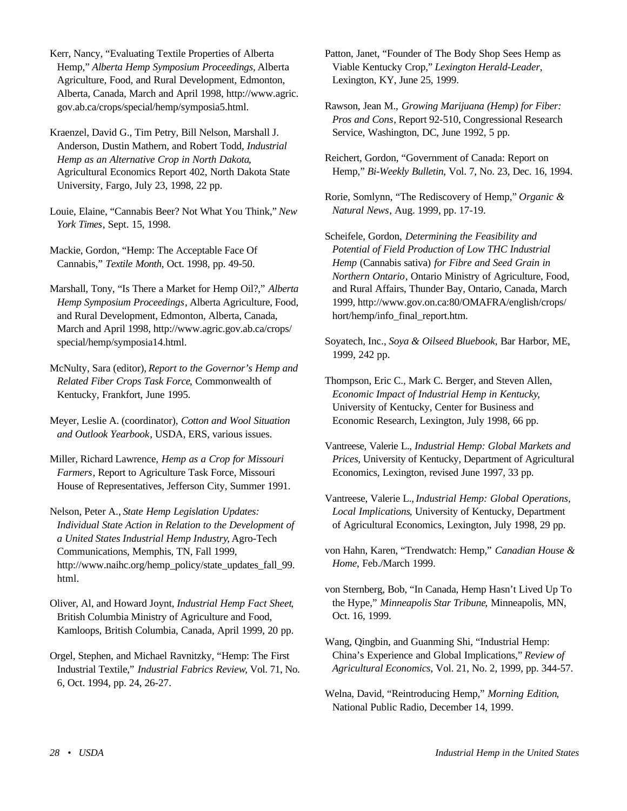Kerr, Nancy, "Evaluating Textile Properties of Alberta Hemp," *Alberta Hemp Symposium Proceedings*, Alberta Agriculture, Food, and Rural Development, Edmonton, Alberta, Canada, March and April 1998, http://www.agric. gov.ab.ca/crops/special/hemp/symposia5.html.

Kraenzel, David G., Tim Petry, Bill Nelson, Marshall J. Anderson, Dustin Mathern, and Robert Todd, *Industrial Hemp as an Alternative Crop in North Dakota*, Agricultural Economics Report 402, North Dakota State University, Fargo, July 23, 1998, 22 pp.

Louie, Elaine, "Cannabis Beer? Not What You Think," *New York Times*, Sept. 15, 1998.

Mackie, Gordon, "Hemp: The Acceptable Face Of Cannabis," *Textile Month*, Oct. 1998, pp. 49-50.

Marshall, Tony, "Is There a Market for Hemp Oil?," *Alberta Hemp Symposium Proceedings*, Alberta Agriculture, Food, and Rural Development, Edmonton, Alberta, Canada, March and April 1998, http://www.agric.gov.ab.ca/crops/ special/hemp/symposia14.html.

McNulty, Sara (editor), *Report to the Governor's Hemp and Related Fiber Crops Task Force*, Commonwealth of Kentucky, Frankfort, June 1995.

Meyer, Leslie A. (coordinator), *Cotton and Wool Situation and Outlook Yearbook*, USDA, ERS, various issues.

Miller, Richard Lawrence, *Hemp as a Crop for Missouri Farmers*, Report to Agriculture Task Force, Missouri House of Representatives, Jefferson City, Summer 1991.

Nelson, Peter A., *State Hemp Legislation Updates: Individual State Action in Relation to the Development of a United States Industrial Hemp Industry*, Agro-Tech Communications, Memphis, TN, Fall 1999, http://www.naihc.org/hemp\_policy/state\_updates\_fall\_99. html.

Oliver, Al, and Howard Joynt, *Industrial Hemp Fact Sheet*, British Columbia Ministry of Agriculture and Food, Kamloops, British Columbia, Canada, April 1999, 20 pp.

Orgel, Stephen, and Michael Ravnitzky, "Hemp: The First Industrial Textile," *Industrial Fabrics Review*, Vol. 71, No. 6, Oct. 1994, pp. 24, 26-27.

Patton, Janet, "Founder of The Body Shop Sees Hemp as Viable Kentucky Crop," *Lexington Herald-Leader*, Lexington, KY, June 25, 1999.

Rawson, Jean M., *Growing Marijuana (Hemp) for Fiber: Pros and Cons*, Report 92-510, Congressional Research Service, Washington, DC, June 1992, 5 pp.

Reichert, Gordon, "Government of Canada: Report on Hemp," *Bi-Weekly Bulletin*, Vol. 7, No. 23, Dec. 16, 1994.

Rorie, Somlynn, "The Rediscovery of Hemp," *Organic & Natural News*, Aug. 1999, pp. 17-19.

Scheifele, Gordon, *Determining the Feasibility and Potential of Field Production of Low THC Industrial Hemp* (Cannabis sativa) *for Fibre and Seed Grain in Northern Ontario*, Ontario Ministry of Agriculture, Food, and Rural Affairs, Thunder Bay, Ontario, Canada, March 1999, http://www.gov.on.ca:80/OMAFRA/english/crops/ hort/hemp/info\_final\_report.htm.

Soyatech, Inc., *Soya & Oilseed Bluebook*, Bar Harbor, ME, 1999, 242 pp.

Thompson, Eric C., Mark C. Berger, and Steven Allen, *Economic Impact of Industrial Hemp in Kentucky*, University of Kentucky, Center for Business and Economic Research, Lexington, July 1998, 66 pp.

- Vantreese, Valerie L., *Industrial Hemp: Global Markets and Prices*, University of Kentucky, Department of Agricultural Economics, Lexington, revised June 1997, 33 pp.
- Vantreese, Valerie L.,*Industrial Hemp: Global Operations, Local Implications*, University of Kentucky, Department of Agricultural Economics, Lexington, July 1998, 29 pp.
- von Hahn, Karen, "Trendwatch: Hemp," *Canadian House & Home*, Feb./March 1999.

von Sternberg, Bob, "In Canada, Hemp Hasn't Lived Up To the Hype," *Minneapolis Star Tribune*, Minneapolis, MN, Oct. 16, 1999.

Wang, Qingbin, and Guanming Shi, "Industrial Hemp: China's Experience and Global Implications," *Review of Agricultural Economics*, Vol. 21, No. 2, 1999, pp. 344-57.

Welna, David, "Reintroducing Hemp," *Morning Edition*, National Public Radio, December 14, 1999.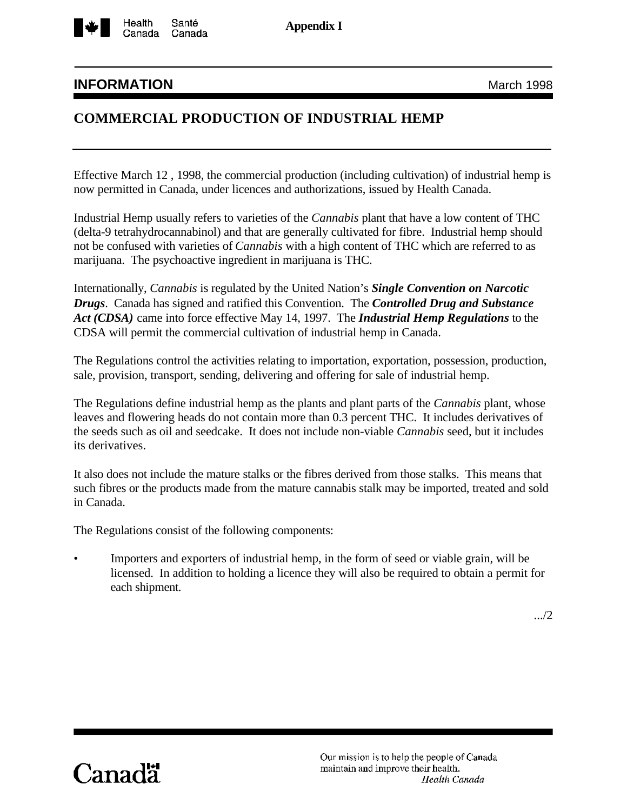<span id="page-33-0"></span>

**Appendix I**

# **INFORMATION** March 1998

# **COMMERCIAL PRODUCTION OF INDUSTRIAL HEMP**

Effective March 12 , 1998, the commercial production (including cultivation) of industrial hemp is now permitted in Canada, under licences and authorizations, issued by Health Canada.

Industrial Hemp usually refers to varieties of the *Cannabis* plant that have a low content of THC (delta-9 tetrahydrocannabinol) and that are generally cultivated for fibre. Industrial hemp should not be confused with varieties of *Cannabis* with a high content of THC which are referred to as marijuana. The psychoactive ingredient in marijuana is THC.

Internationally, *Cannabis* is regulated by the United Nation's *Single Convention on Narcotic Drugs*. Canada has signed and ratified this Convention. The *Controlled Drug and Substance Act (CDSA)* came into force effective May 14, 1997. The *Industrial Hemp Regulations* to the CDSA will permit the commercial cultivation of industrial hemp in Canada.

The Regulations control the activities relating to importation, exportation, possession, production, sale, provision, transport, sending, delivering and offering for sale of industrial hemp.

The Regulations define industrial hemp as the plants and plant parts of the *Cannabis* plant, whose leaves and flowering heads do not contain more than 0.3 percent THC. It includes derivatives of the seeds such as oil and seedcake. It does not include non-viable *Cannabis* seed, but it includes its derivatives.

It also does not include the mature stalks or the fibres derived from those stalks. This means that such fibres or the products made from the mature cannabis stalk may be imported, treated and sold in Canada.

The Regulations consist of the following components:

• Importers and exporters of industrial hemp, in the form of seed or viable grain, will be licensed. In addition to holding a licence they will also be required to obtain a permit for each shipment.

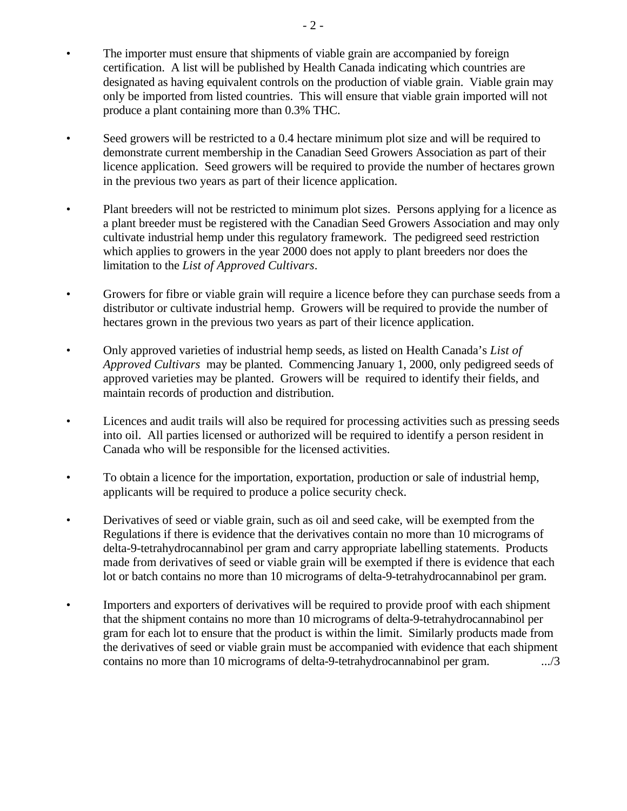- The importer must ensure that shipments of viable grain are accompanied by foreign certification. A list will be published by Health Canada indicating which countries are designated as having equivalent controls on the production of viable grain. Viable grain may only be imported from listed countries. This will ensure that viable grain imported will not produce a plant containing more than 0.3% THC.
- Seed growers will be restricted to a 0.4 hectare minimum plot size and will be required to demonstrate current membership in the Canadian Seed Growers Association as part of their licence application. Seed growers will be required to provide the number of hectares grown in the previous two years as part of their licence application.
- Plant breeders will not be restricted to minimum plot sizes. Persons applying for a licence as a plant breeder must be registered with the Canadian Seed Growers Association and may only cultivate industrial hemp under this regulatory framework. The pedigreed seed restriction which applies to growers in the year 2000 does not apply to plant breeders nor does the limitation to the *List of Approved Cultivars*.
- Growers for fibre or viable grain will require a licence before they can purchase seeds from a distributor or cultivate industrial hemp. Growers will be required to provide the number of hectares grown in the previous two years as part of their licence application.
- Only approved varieties of industrial hemp seeds, as listed on Health Canada's *List of Approved Cultivars* may be planted. Commencing January 1, 2000, only pedigreed seeds of approved varieties may be planted. Growers will be required to identify their fields, and maintain records of production and distribution.
- Licences and audit trails will also be required for processing activities such as pressing seeds into oil. All parties licensed or authorized will be required to identify a person resident in Canada who will be responsible for the licensed activities.
- To obtain a licence for the importation, exportation, production or sale of industrial hemp, applicants will be required to produce a police security check.
- Derivatives of seed or viable grain, such as oil and seed cake, will be exempted from the Regulations if there is evidence that the derivatives contain no more than 10 micrograms of delta-9-tetrahydrocannabinol per gram and carry appropriate labelling statements. Products made from derivatives of seed or viable grain will be exempted if there is evidence that each lot or batch contains no more than 10 micrograms of delta-9-tetrahydrocannabinol per gram.
- Importers and exporters of derivatives will be required to provide proof with each shipment that the shipment contains no more than 10 micrograms of delta-9-tetrahydrocannabinol per gram for each lot to ensure that the product is within the limit. Similarly products made from the derivatives of seed or viable grain must be accompanied with evidence that each shipment contains no more than 10 micrograms of delta-9-tetrahydrocannabinol per gram. .../3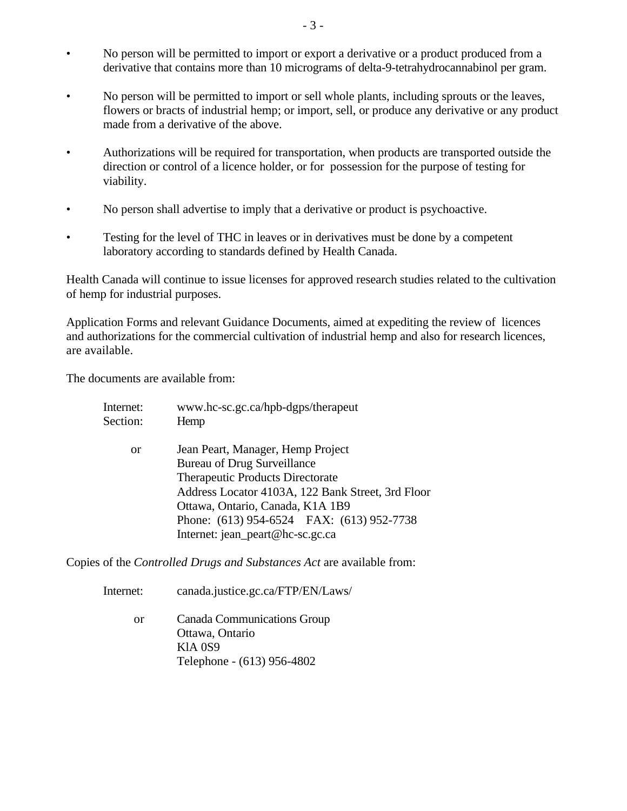- No person will be permitted to import or export a derivative or a product produced from a derivative that contains more than 10 micrograms of delta-9-tetrahydrocannabinol per gram.
- No person will be permitted to import or sell whole plants, including sprouts or the leaves, flowers or bracts of industrial hemp; or import, sell, or produce any derivative or any product made from a derivative of the above.
- Authorizations will be required for transportation, when products are transported outside the direction or control of a licence holder, or for possession for the purpose of testing for viability.
- No person shall advertise to imply that a derivative or product is psychoactive.
- Testing for the level of THC in leaves or in derivatives must be done by a competent laboratory according to standards defined by Health Canada.

Health Canada will continue to issue licenses for approved research studies related to the cultivation of hemp for industrial purposes.

Application Forms and relevant Guidance Documents, aimed at expediting the review of licences and authorizations for the commercial cultivation of industrial hemp and also for research licences, are available.

The documents are available from:

| Jean Peart, Manager, Hemp Project                 |
|---------------------------------------------------|
| <b>Bureau of Drug Surveillance</b>                |
| <b>Therapeutic Products Directorate</b>           |
| Address Locator 4103A, 122 Bank Street, 3rd Floor |
| Ottawa, Ontario, Canada, K1A 1B9                  |
| Phone: (613) 954-6524 FAX: (613) 952-7738         |
| Internet: jean_peart@hc-sc.gc.ca                  |
|                                                   |

Copies of the *Controlled Drugs and Substances Act* are available from:

- Internet: canada.justice.gc.ca/FTP/EN/Laws/
	- or Canada Communications Group Ottawa, Ontario KlA 0S9 Telephone - (613) 956-4802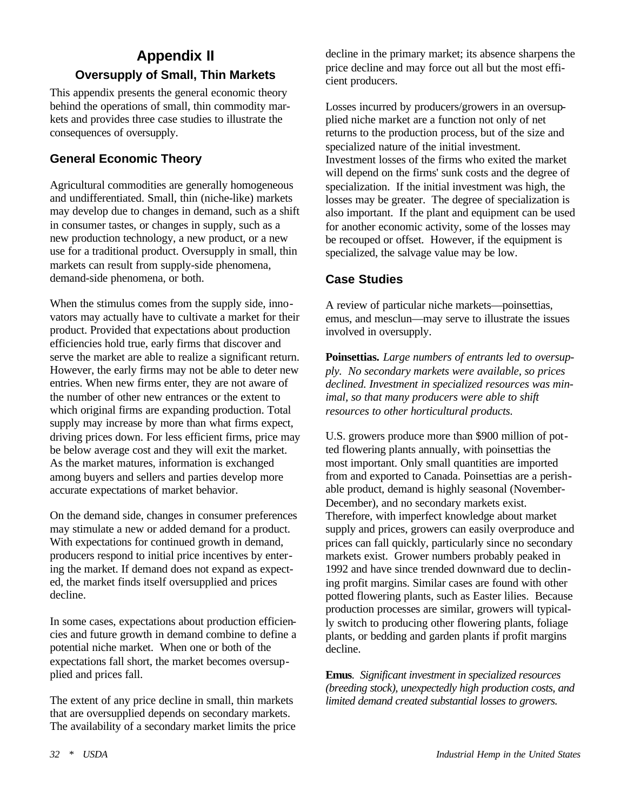# <span id="page-36-0"></span>**Appendix II Oversupply of Small, Thin Markets**

This appendix presents the general economic theory behind the operations of small, thin commodity markets and provides three case studies to illustrate the consequences of oversupply.

# **General Economic Theory**

Agricultural commodities are generally homogeneous and undifferentiated. Small, thin (niche-like) markets may develop due to changes in demand, such as a shift in consumer tastes, or changes in supply, such as a new production technology, a new product, or a new use for a traditional product. Oversupply in small, thin markets can result from supply-side phenomena, demand-side phenomena, or both.

When the stimulus comes from the supply side, innovators may actually have to cultivate a market for their product. Provided that expectations about production efficiencies hold true, early firms that discover and serve the market are able to realize a significant return. However, the early firms may not be able to deter new entries. When new firms enter, they are not aware of the number of other new entrances or the extent to which original firms are expanding production. Total supply may increase by more than what firms expect, driving prices down. For less efficient firms, price may be below average cost and they will exit the market. As the market matures, information is exchanged among buyers and sellers and parties develop more accurate expectations of market behavior.

On the demand side, changes in consumer preferences may stimulate a new or added demand for a product. With expectations for continued growth in demand, producers respond to initial price incentives by entering the market. If demand does not expand as expected, the market finds itself oversupplied and prices decline.

In some cases, expectations about production efficiencies and future growth in demand combine to define a potential niche market. When one or both of the expectations fall short, the market becomes oversupplied and prices fall.

The extent of any price decline in small, thin markets that are oversupplied depends on secondary markets. The availability of a secondary market limits the price

decline in the primary market; its absence sharpens the price decline and may force out all but the most efficient producers.

Losses incurred by producers/growers in an oversupplied niche market are a function not only of net returns to the production process, but of the size and specialized nature of the initial investment. Investment losses of the firms who exited the market will depend on the firms' sunk costs and the degree of specialization. If the initial investment was high, the losses may be greater. The degree of specialization is also important. If the plant and equipment can be used for another economic activity, some of the losses may be recouped or offset. However, if the equipment is specialized, the salvage value may be low.

# **Case Studies**

A review of particular niche markets—poinsettias, emus, and mesclun—may serve to illustrate the issues involved in oversupply.

**Poinsettias.** *Large numbers of entrants led to oversupply. No secondary markets were available, so prices declined. Investment in specialized resources was minimal, so that many producers were able to shift resources to other horticultural products.*

U.S. growers produce more than \$900 million of potted flowering plants annually, with poinsettias the most important. Only small quantities are imported from and exported to Canada. Poinsettias are a perishable product, demand is highly seasonal (November-December), and no secondary markets exist. Therefore, with imperfect knowledge about market supply and prices, growers can easily overproduce and prices can fall quickly, particularly since no secondary markets exist. Grower numbers probably peaked in 1992 and have since trended downward due to declining profit margins. Similar cases are found with other potted flowering plants, such as Easter lilies. Because production processes are similar, growers will typically switch to producing other flowering plants, foliage plants, or bedding and garden plants if profit margins decline.

**Emus**. *Significant investment in specialized resources (breeding stock), unexpectedly high production costs, and limited demand created substantial losses to growers.*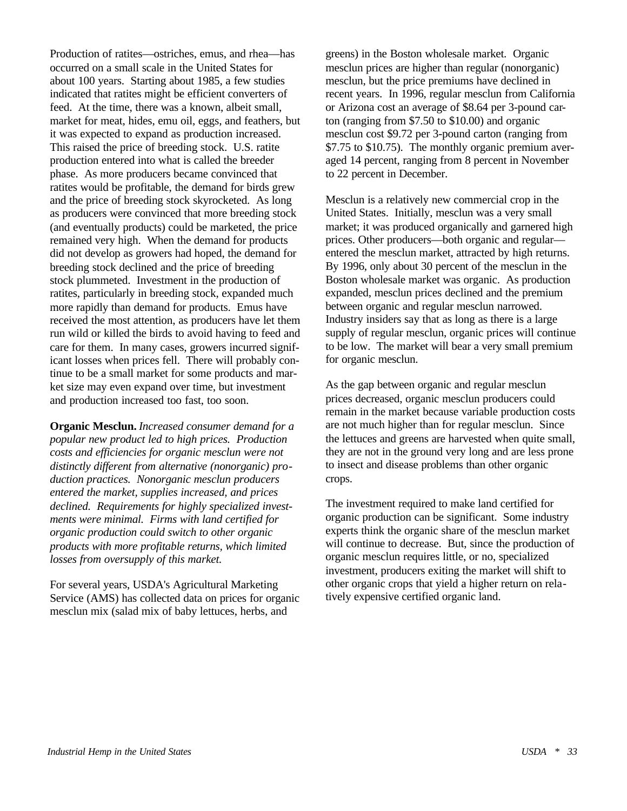Production of ratites—ostriches, emus, and rhea—has occurred on a small scale in the United States for about 100 years. Starting about 1985, a few studies indicated that ratites might be efficient converters of feed. At the time, there was a known, albeit small, market for meat, hides, emu oil, eggs, and feathers, but it was expected to expand as production increased. This raised the price of breeding stock. U.S. ratite production entered into what is called the breeder phase. As more producers became convinced that ratites would be profitable, the demand for birds grew and the price of breeding stock skyrocketed. As long as producers were convinced that more breeding stock (and eventually products) could be marketed, the price remained very high. When the demand for products did not develop as growers had hoped, the demand for breeding stock declined and the price of breeding stock plummeted. Investment in the production of ratites, particularly in breeding stock, expanded much more rapidly than demand for products. Emus have received the most attention, as producers have let them run wild or killed the birds to avoid having to feed and care for them. In many cases, growers incurred significant losses when prices fell. There will probably continue to be a small market for some products and market size may even expand over time, but investment and production increased too fast, too soon.

**Organic Mesclun.** *Increased consumer demand for a popular new product led to high prices. Production costs and efficiencies for organic mesclun were not distinctly different from alternative (nonorganic) production practices. Nonorganic mesclun producers entered the market, supplies increased, and prices declined. Requirements for highly specialized investments were minimal. Firms with land certified for organic production could switch to other organic products with more profitable returns, which limited losses from oversupply of this market.*

For several years, USDA's Agricultural Marketing Service (AMS) has collected data on prices for organic mesclun mix (salad mix of baby lettuces, herbs, and

greens) in the Boston wholesale market. Organic mesclun prices are higher than regular (nonorganic) mesclun, but the price premiums have declined in recent years. In 1996, regular mesclun from California or Arizona cost an average of \$8.64 per 3-pound carton (ranging from \$7.50 to \$10.00) and organic mesclun cost \$9.72 per 3-pound carton (ranging from \$7.75 to \$10.75). The monthly organic premium averaged 14 percent, ranging from 8 percent in November to 22 percent in December.

Mesclun is a relatively new commercial crop in the United States. Initially, mesclun was a very small market; it was produced organically and garnered high prices. Other producers—both organic and regular entered the mesclun market, attracted by high returns. By 1996, only about 30 percent of the mesclun in the Boston wholesale market was organic. As production expanded, mesclun prices declined and the premium between organic and regular mesclun narrowed. Industry insiders say that as long as there is a large supply of regular mesclun, organic prices will continue to be low. The market will bear a very small premium for organic mesclun.

As the gap between organic and regular mesclun prices decreased, organic mesclun producers could remain in the market because variable production costs are not much higher than for regular mesclun. Since the lettuces and greens are harvested when quite small, they are not in the ground very long and are less prone to insect and disease problems than other organic crops.

The investment required to make land certified for organic production can be significant. Some industry experts think the organic share of the mesclun market will continue to decrease. But, since the production of organic mesclun requires little, or no, specialized investment, producers exiting the market will shift to other organic crops that yield a higher return on relatively expensive certified organic land.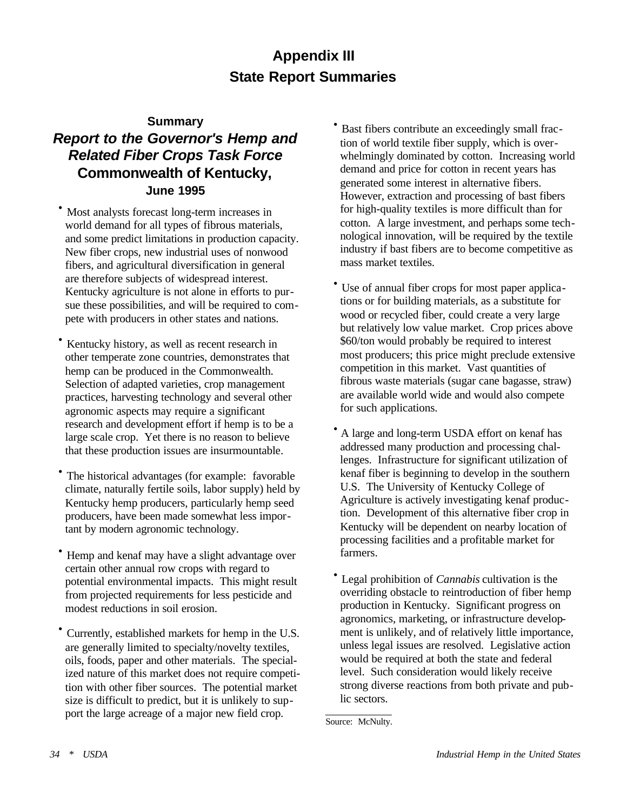# **Appendix III State Report Summaries**

#### **Summary**

# <span id="page-38-0"></span>*Report to the Governor's Hemp and Related Fiber Crops Task Force*  **Commonwealth of Kentucky, June 1995**

- · Most analysts forecast long-term increases in world demand for all types of fibrous materials, and some predict limitations in production capacity. New fiber crops, new industrial uses of nonwood fibers, and agricultural diversification in general are therefore subjects of widespread interest. Kentucky agriculture is not alone in efforts to pursue these possibilities, and will be required to compete with producers in other states and nations.
- · Kentucky history, as well as recent research in other temperate zone countries, demonstrates that hemp can be produced in the Commonwealth. Selection of adapted varieties, crop management practices, harvesting technology and several other agronomic aspects may require a significant research and development effort if hemp is to be a large scale crop. Yet there is no reason to believe that these production issues are insurmountable.
- · The historical advantages (for example: favorable climate, naturally fertile soils, labor supply) held by Kentucky hemp producers, particularly hemp seed producers, have been made somewhat less important by modern agronomic technology.
- · Hemp and kenaf may have a slight advantage over certain other annual row crops with regard to potential environmental impacts. This might result from projected requirements for less pesticide and modest reductions in soil erosion.
- · Currently, established markets for hemp in the U.S. are generally limited to specialty/novelty textiles, oils, foods, paper and other materials. The specialized nature of this market does not require competition with other fiber sources. The potential market size is difficult to predict, but it is unlikely to support the large acreage of a major new field crop.
- Bast fibers contribute an exceedingly small fraction of world textile fiber supply, which is overwhelmingly dominated by cotton. Increasing world demand and price for cotton in recent years has generated some interest in alternative fibers. However, extraction and processing of bast fibers for high-quality textiles is more difficult than for cotton. A large investment, and perhaps some technological innovation, will be required by the textile industry if bast fibers are to become competitive as mass market textiles.
- · Use of annual fiber crops for most paper applications or for building materials, as a substitute for wood or recycled fiber, could create a very large but relatively low value market. Crop prices above \$60/ton would probably be required to interest most producers; this price might preclude extensive competition in this market. Vast quantities of fibrous waste materials (sugar cane bagasse, straw) are available world wide and would also compete for such applications.
- · A large and long-term USDA effort on kenaf has addressed many production and processing challenges. Infrastructure for significant utilization of kenaf fiber is beginning to develop in the southern U.S. The University of Kentucky College of Agriculture is actively investigating kenaf production. Development of this alternative fiber crop in Kentucky will be dependent on nearby location of processing facilities and a profitable market for farmers.
- · Legal prohibition of *Cannabis* cultivation is the overriding obstacle to reintroduction of fiber hemp production in Kentucky. Significant progress on agronomics, marketing, or infrastructure development is unlikely, and of relatively little importance, unless legal issues are resolved. Legislative action would be required at both the state and federal level. Such consideration would likely receive strong diverse reactions from both private and public sectors.

Source: McNulty.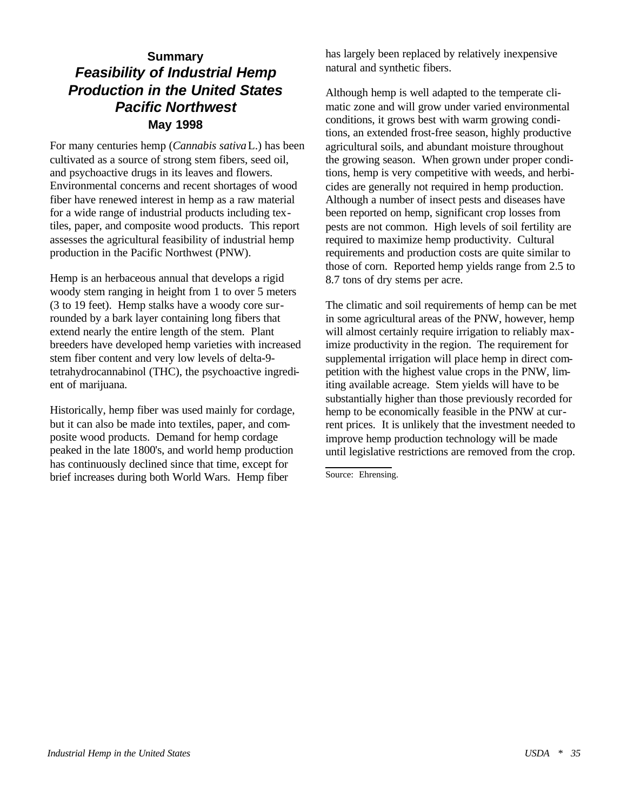# **Summary** *Feasibility of Industrial Hemp Production in the United States Pacific Northwest* **May 1998**

For many centuries hemp (*Cannabis sativa* L.) has been cultivated as a source of strong stem fibers, seed oil, and psychoactive drugs in its leaves and flowers. Environmental concerns and recent shortages of wood fiber have renewed interest in hemp as a raw material for a wide range of industrial products including textiles, paper, and composite wood products. This report assesses the agricultural feasibility of industrial hemp production in the Pacific Northwest (PNW).

Hemp is an herbaceous annual that develops a rigid woody stem ranging in height from 1 to over 5 meters (3 to 19 feet). Hemp stalks have a woody core surrounded by a bark layer containing long fibers that extend nearly the entire length of the stem. Plant breeders have developed hemp varieties with increased stem fiber content and very low levels of delta-9 tetrahydrocannabinol (THC), the psychoactive ingredient of marijuana.

Historically, hemp fiber was used mainly for cordage, but it can also be made into textiles, paper, and composite wood products. Demand for hemp cordage peaked in the late 1800's, and world hemp production has continuously declined since that time, except for brief increases during both World Wars. Hemp fiber

has largely been replaced by relatively inexpensive natural and synthetic fibers.

Although hemp is well adapted to the temperate climatic zone and will grow under varied environmental conditions, it grows best with warm growing conditions, an extended frost-free season, highly productive agricultural soils, and abundant moisture throughout the growing season. When grown under proper conditions, hemp is very competitive with weeds, and herbicides are generally not required in hemp production. Although a number of insect pests and diseases have been reported on hemp, significant crop losses from pests are not common. High levels of soil fertility are required to maximize hemp productivity. Cultural requirements and production costs are quite similar to those of corn. Reported hemp yields range from 2.5 to 8.7 tons of dry stems per acre.

The climatic and soil requirements of hemp can be met in some agricultural areas of the PNW, however, hemp will almost certainly require irrigation to reliably maximize productivity in the region. The requirement for supplemental irrigation will place hemp in direct competition with the highest value crops in the PNW, limiting available acreage. Stem yields will have to be substantially higher than those previously recorded for hemp to be economically feasible in the PNW at current prices. It is unlikely that the investment needed to improve hemp production technology will be made until legislative restrictions are removed from the crop.

Source: Ehrensing.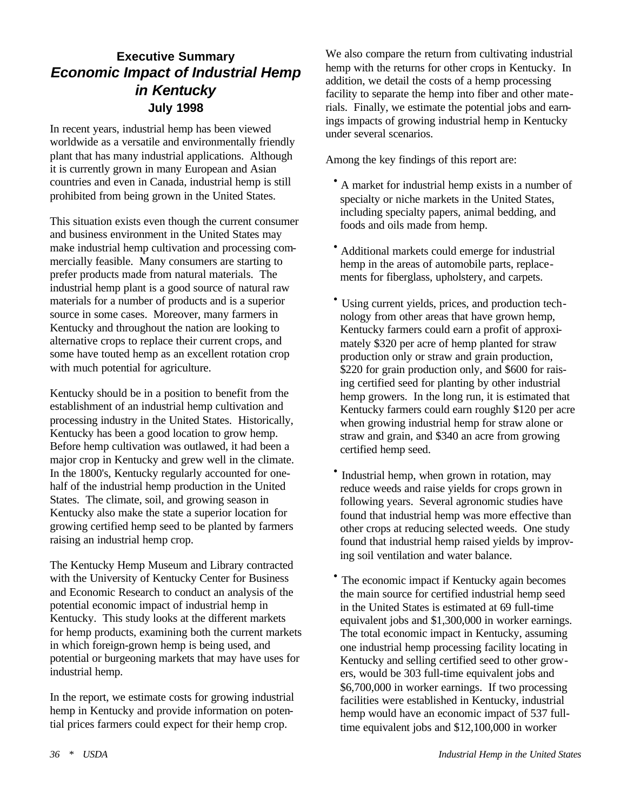# **Executive Summary** *Economic Impact of Industrial Hemp in Kentucky* **July 1998**

In recent years, industrial hemp has been viewed worldwide as a versatile and environmentally friendly plant that has many industrial applications. Although it is currently grown in many European and Asian countries and even in Canada, industrial hemp is still prohibited from being grown in the United States.

This situation exists even though the current consumer and business environment in the United States may make industrial hemp cultivation and processing commercially feasible. Many consumers are starting to prefer products made from natural materials. The industrial hemp plant is a good source of natural raw materials for a number of products and is a superior source in some cases. Moreover, many farmers in Kentucky and throughout the nation are looking to alternative crops to replace their current crops, and some have touted hemp as an excellent rotation crop with much potential for agriculture.

Kentucky should be in a position to benefit from the establishment of an industrial hemp cultivation and processing industry in the United States. Historically, Kentucky has been a good location to grow hemp. Before hemp cultivation was outlawed, it had been a major crop in Kentucky and grew well in the climate. In the 1800's, Kentucky regularly accounted for onehalf of the industrial hemp production in the United States. The climate, soil, and growing season in Kentucky also make the state a superior location for growing certified hemp seed to be planted by farmers raising an industrial hemp crop.

The Kentucky Hemp Museum and Library contracted with the University of Kentucky Center for Business and Economic Research to conduct an analysis of the potential economic impact of industrial hemp in Kentucky. This study looks at the different markets for hemp products, examining both the current markets in which foreign-grown hemp is being used, and potential or burgeoning markets that may have uses for industrial hemp.

In the report, we estimate costs for growing industrial hemp in Kentucky and provide information on potential prices farmers could expect for their hemp crop.

We also compare the return from cultivating industrial hemp with the returns for other crops in Kentucky. In addition, we detail the costs of a hemp processing facility to separate the hemp into fiber and other materials. Finally, we estimate the potential jobs and earnings impacts of growing industrial hemp in Kentucky under several scenarios.

Among the key findings of this report are:

- · A market for industrial hemp exists in a number of specialty or niche markets in the United States, including specialty papers, animal bedding, and foods and oils made from hemp.
- · Additional markets could emerge for industrial hemp in the areas of automobile parts, replacements for fiberglass, upholstery, and carpets.
- · Using current yields, prices, and production technology from other areas that have grown hemp, Kentucky farmers could earn a profit of approximately \$320 per acre of hemp planted for straw production only or straw and grain production, \$220 for grain production only, and \$600 for raising certified seed for planting by other industrial hemp growers. In the long run, it is estimated that Kentucky farmers could earn roughly \$120 per acre when growing industrial hemp for straw alone or straw and grain, and \$340 an acre from growing certified hemp seed.
- Industrial hemp, when grown in rotation, may reduce weeds and raise yields for crops grown in following years. Several agronomic studies have found that industrial hemp was more effective than other crops at reducing selected weeds. One study found that industrial hemp raised yields by improving soil ventilation and water balance.
- · The economic impact if Kentucky again becomes the main source for certified industrial hemp seed in the United States is estimated at 69 full-time equivalent jobs and \$1,300,000 in worker earnings. The total economic impact in Kentucky, assuming one industrial hemp processing facility locating in Kentucky and selling certified seed to other growers, would be 303 full-time equivalent jobs and \$6,700,000 in worker earnings. If two processing facilities were established in Kentucky, industrial hemp would have an economic impact of 537 fulltime equivalent jobs and \$12,100,000 in worker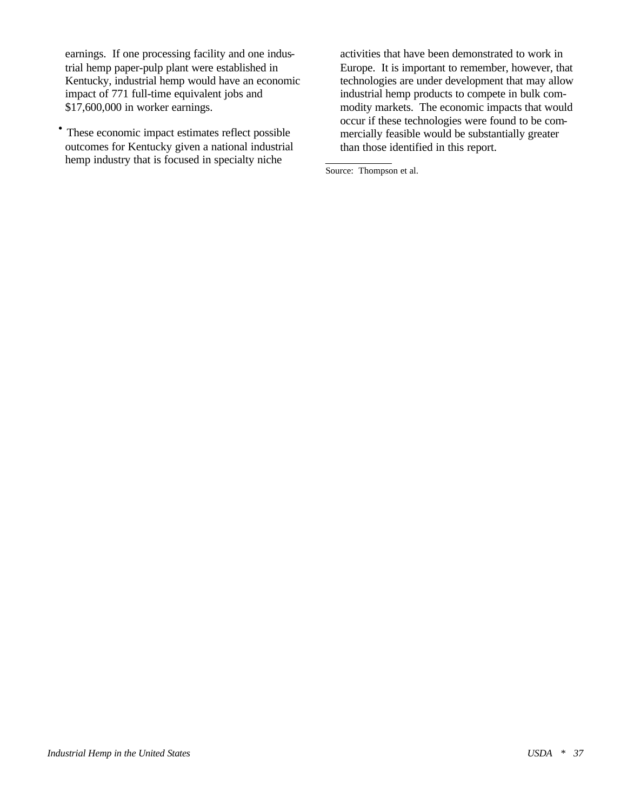earnings. If one processing facility and one industrial hemp paper-pulp plant were established in Kentucky, industrial hemp would have an economic impact of 771 full-time equivalent jobs and \$17,600,000 in worker earnings.

· These economic impact estimates reflect possible outcomes for Kentucky given a national industrial hemp industry that is focused in specialty niche

activities that have been demonstrated to work in Europe. It is important to remember, however, that technologies are under development that may allow industrial hemp products to compete in bulk commodity markets. The economic impacts that would occur if these technologies were found to be commercially feasible would be substantially greater than those identified in this report.

Source: Thompson et al.